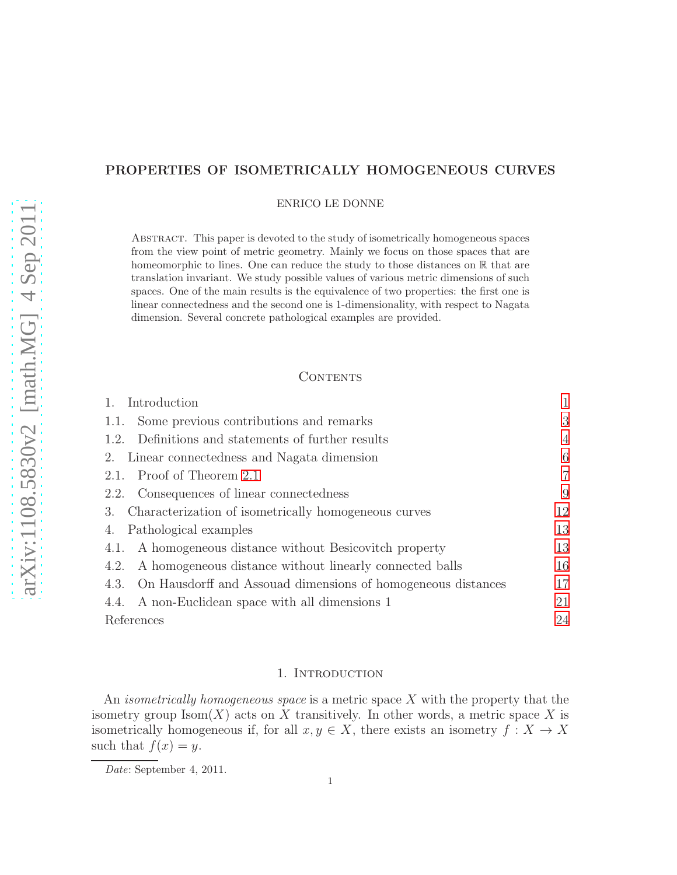# PROPERTIES OF ISOMETRICALLY HOMOGENEOUS CURVES

ENRICO LE DONNE

Abstract. This paper is devoted to the study of isometrically homogeneous spaces from the view point of metric geometry. Mainly we focus on those spaces that are homeomorphic to lines. One can reduce the study to those distances on  $\mathbb R$  that are translation invariant. We study possible values of various metric dimensions of such spaces. One of the main results is the equivalence of two properties: the first one is linear connectedness and the second one is 1-dimensionality, with respect to Nagata dimension. Several concrete pathological examples are provided.

## **CONTENTS**

| Introduction                                                      |                |
|-------------------------------------------------------------------|----------------|
| 1.1. Some previous contributions and remarks                      | 3              |
| 1.2. Definitions and statements of further results                | $\overline{4}$ |
| 2. Linear connectedness and Nagata dimension                      | 6              |
| 2.1. Proof of Theorem 2.1                                         | 7              |
| 2.2. Consequences of linear connectedness                         | 9              |
| 3. Characterization of isometrically homogeneous curves           | 12             |
| Pathological examples<br>4.                                       | 13             |
| A homogeneous distance without Besicovitch property<br>4.1.       | 13             |
| A homogeneous distance without linearly connected balls<br>4.2.   | 16             |
| 4.3. On Hausdorff and Assouad dimensions of homogeneous distances | 17             |
| 4.4. A non-Euclidean space with all dimensions 1                  | 21             |
| References                                                        | 24             |

### 1. INTRODUCTION

<span id="page-0-0"></span>An *isometrically homogeneous space* is a metric space  $X$  with the property that the isometry group  $\text{Isom}(X)$  acts on X transitively. In other words, a metric space X is isometrically homogeneous if, for all  $x, y \in X$ , there exists an isometry  $f: X \to X$ such that  $f(x) = y$ .

Date: September 4, 2011.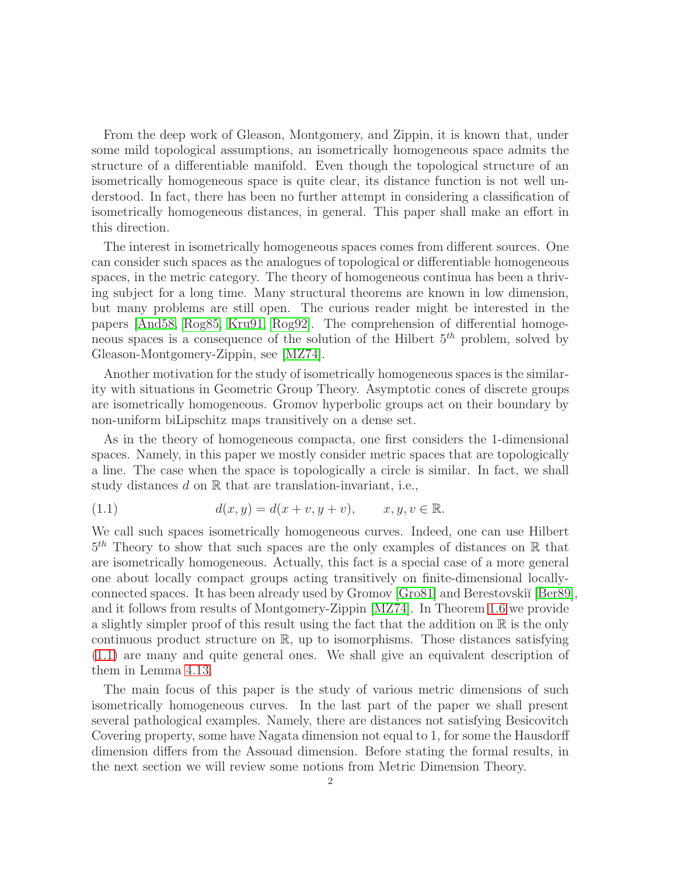From the deep work of Gleason, Montgomery, and Zippin, it is known that, under some mild topological assumptions, an isometrically homogeneous space admits the structure of a differentiable manifold. Even though the topological structure of an isometrically homogeneous space is quite clear, its distance function is not well understood. In fact, there has been no further attempt in considering a classification of isometrically homogeneous distances, in general. This paper shall make an effort in this direction.

The interest in isometrically homogeneous spaces comes from different sources. One can consider such spaces as the analogues of topological or differentiable homogeneous spaces, in the metric category. The theory of homogeneous continua has been a thriving subject for a long time. Many structural theorems are known in low dimension, but many problems are still open. The curious reader might be interested in the papers [\[And58,](#page-23-1) [Rog85,](#page-24-0) [Kru91,](#page-23-2) [Rog92\]](#page-24-1). The comprehension of differential homogeneous spaces is a consequence of the solution of the Hilbert  $5<sup>th</sup>$  problem, solved by Gleason-Montgomery-Zippin, see [\[MZ74\]](#page-23-3).

Another motivation for the study of isometrically homogeneous spaces is the similarity with situations in Geometric Group Theory. Asymptotic cones of discrete groups are isometrically homogeneous. Gromov hyperbolic groups act on their boundary by non-uniform biLipschitz maps transitively on a dense set.

As in the theory of homogeneous compacta, one first considers the 1-dimensional spaces. Namely, in this paper we mostly consider metric spaces that are topologically a line. The case when the space is topologically a circle is similar. In fact, we shall study distances  $d$  on  $\mathbb R$  that are translation-invariant, i.e.,

<span id="page-1-0"></span>(1.1) 
$$
d(x, y) = d(x + v, y + v), \qquad x, y, v \in \mathbb{R}.
$$

We call such spaces isometrically homogeneous curves. Indeed, one can use Hilbert  $5<sup>th</sup>$  Theory to show that such spaces are the only examples of distances on R that are isometrically homogeneous. Actually, this fact is a special case of a more general one about locally compact groups acting transitively on finite-dimensional locallyconnected spaces. It has been already used by Gromov [\[Gro81\]](#page-23-4) and Berestovski˘ı [\[Ber89\]](#page-23-5), and it follows from results of Montgomery-Zippin [\[MZ74\]](#page-23-3). In Theorem [1.6](#page-4-0) we provide a slightly simpler proof of this result using the fact that the addition on  $\mathbb R$  is the only continuous product structure on R, up to isomorphisms. Those distances satisfying [\(1.1\)](#page-1-0) are many and quite general ones. We shall give an equivalent description of them in Lemma [4.13.](#page-16-1)

The main focus of this paper is the study of various metric dimensions of such isometrically homogeneous curves. In the last part of the paper we shall present several pathological examples. Namely, there are distances not satisfying Besicovitch Covering property, some have Nagata dimension not equal to 1, for some the Hausdorff dimension differs from the Assouad dimension. Before stating the formal results, in the next section we will review some notions from Metric Dimension Theory.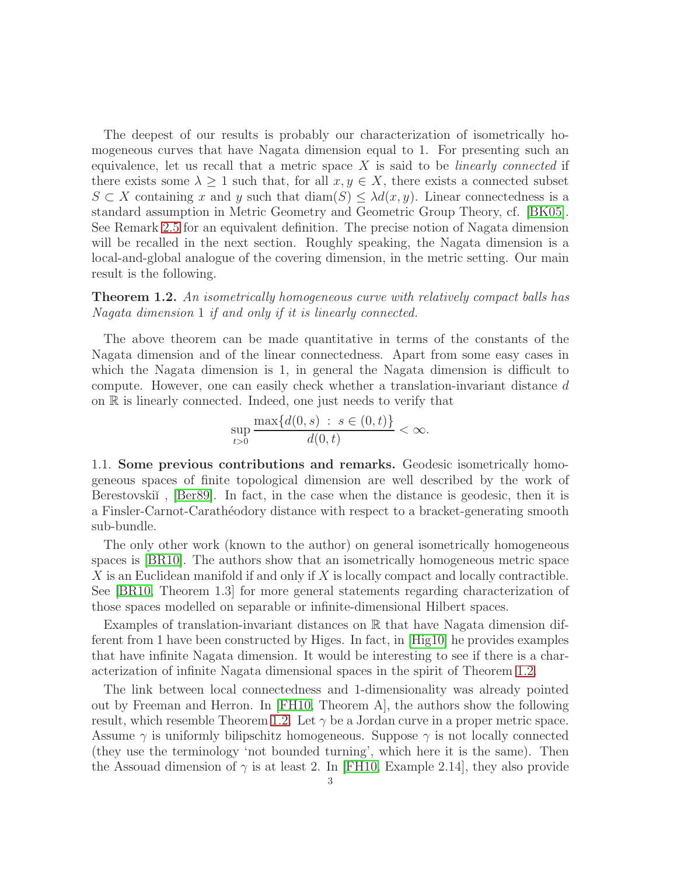The deepest of our results is probably our characterization of isometrically homogeneous curves that have Nagata dimension equal to 1. For presenting such an equivalence, let us recall that a metric space  $X$  is said to be *linearly connected* if there exists some  $\lambda \geq 1$  such that, for all  $x, y \in X$ , there exists a connected subset  $S \subset X$  containing x and y such that  $\text{diam}(S) \leq \lambda d(x, y)$ . Linear connectedness is a standard assumption in Metric Geometry and Geometric Group Theory, cf. [\[BK05\]](#page-23-6). See Remark [2.5](#page-8-1) for an equivalent definition. The precise notion of Nagata dimension will be recalled in the next section. Roughly speaking, the Nagata dimension is a local-and-global analogue of the covering dimension, in the metric setting. Our main result is the following.

<span id="page-2-1"></span>**Theorem 1.2.** An isometrically homogeneous curve with relatively compact balls has Nagata dimension 1 if and only if it is linearly connected.

The above theorem can be made quantitative in terms of the constants of the Nagata dimension and of the linear connectedness. Apart from some easy cases in which the Nagata dimension is 1, in general the Nagata dimension is difficult to compute. However, one can easily check whether a translation-invariant distance d on R is linearly connected. Indeed, one just needs to verify that

$$
\sup_{t>0} \frac{\max\{d(0,s) \ : \ s \in (0,t)\}}{d(0,t)} < \infty.
$$

<span id="page-2-0"></span>1.1. Some previous contributions and remarks. Geodesic isometrically homogeneous spaces of finite topological dimension are well described by the work of Berestovski<sup>t</sup>, [\[Ber89\]](#page-23-5). In fact, in the case when the distance is geodesic, then it is a Finsler-Carnot-Carath´eodory distance with respect to a bracket-generating smooth sub-bundle.

The only other work (known to the author) on general isometrically homogeneous spaces is [\[BR10\]](#page-23-7). The authors show that an isometrically homogeneous metric space  $X$  is an Euclidean manifold if and only if  $X$  is locally compact and locally contractible. See [\[BR10,](#page-23-7) Theorem 1.3] for more general statements regarding characterization of those spaces modelled on separable or infinite-dimensional Hilbert spaces.

Examples of translation-invariant distances on R that have Nagata dimension different from 1 have been constructed by Higes. In fact, in [\[Hig10\]](#page-23-8) he provides examples that have infinite Nagata dimension. It would be interesting to see if there is a characterization of infinite Nagata dimensional spaces in the spirit of Theorem [1.2.](#page-2-1)

The link between local connectedness and 1-dimensionality was already pointed out by Freeman and Herron. In [\[FH10,](#page-23-9) Theorem A], the authors show the following result, which resemble Theorem [1.2.](#page-2-1) Let  $\gamma$  be a Jordan curve in a proper metric space. Assume  $\gamma$  is uniformly bilipschitz homogeneous. Suppose  $\gamma$  is not locally connected (they use the terminology 'not bounded turning', which here it is the same). Then the Assouad dimension of  $\gamma$  is at least 2. In [\[FH10,](#page-23-9) Example 2.14], they also provide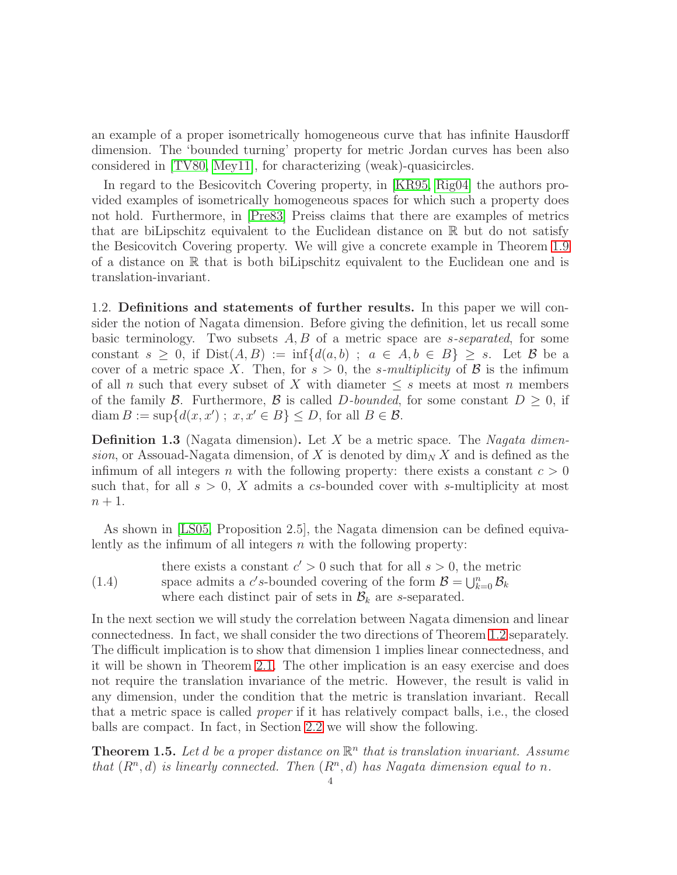an example of a proper isometrically homogeneous curve that has infinite Hausdorff dimension. The 'bounded turning' property for metric Jordan curves has been also considered in [\[TV80,](#page-24-2) [Mey11\]](#page-23-10), for characterizing (weak)-quasicircles.

In regard to the Besicovitch Covering property, in [\[KR95,](#page-23-11) [Rig04\]](#page-23-12) the authors provided examples of isometrically homogeneous spaces for which such a property does not hold. Furthermore, in [\[Pre83\]](#page-23-13) Preiss claims that there are examples of metrics that are biLipschitz equivalent to the Euclidean distance on R but do not satisfy the Besicovitch Covering property. We will give a concrete example in Theorem [1.9](#page-4-1) of a distance on R that is both biLipschitz equivalent to the Euclidean one and is translation-invariant.

<span id="page-3-0"></span>1.2. Definitions and statements of further results. In this paper we will consider the notion of Nagata dimension. Before giving the definition, let us recall some basic terminology. Two subsets  $A, B$  of a metric space are *s-separated*, for some constant  $s > 0$ , if  $Dist(A, B) := \inf \{ d(a, b) ; a \in A, b \in B \} > s$ . Let B be a cover of a metric space X. Then, for  $s > 0$ , the *s*-multiplicity of B is the infimum of all n such that every subset of X with diameter  $\leq s$  meets at most n members of the family B. Furthermore, B is called D-bounded, for some constant  $D \geq 0$ , if diam  $B := \sup\{d(x, x') ; x, x' \in B\} \le D$ , for all  $B \in \mathcal{B}$ .

**Definition 1.3** (Nagata dimension). Let X be a metric space. The *Nagata dimen*sion, or Assouad-Nagata dimension, of X is denoted by  $\dim_N X$  and is defined as the infimum of all integers n with the following property: there exists a constant  $c > 0$ such that, for all  $s > 0$ , X admits a cs-bounded cover with s-multiplicity at most  $n+1$ .

As shown in [\[LS05,](#page-23-14) Proposition 2.5], the Nagata dimension can be defined equivalently as the infimum of all integers  $n$  with the following property:

<span id="page-3-2"></span>(1.4) there exists a constant  $c' > 0$  such that for all  $s > 0$ , the metric space admits a c's-bounded covering of the form  $\mathcal{B} = \bigcup_{k=0}^n \mathcal{B}_k$ where each distinct pair of sets in  $\mathcal{B}_k$  are s-separated.

In the next section we will study the correlation between Nagata dimension and linear connectedness. In fact, we shall consider the two directions of Theorem [1.2](#page-2-1) separately. The difficult implication is to show that dimension 1 implies linear connectedness, and it will be shown in Theorem [2.1.](#page-5-1) The other implication is an easy exercise and does not require the translation invariance of the metric. However, the result is valid in any dimension, under the condition that the metric is translation invariant. Recall that a metric space is called proper if it has relatively compact balls, i.e., the closed balls are compact. In fact, in Section [2.2](#page-8-0) we will show the following.

<span id="page-3-1"></span>**Theorem 1.5.** Let d be a proper distance on  $\mathbb{R}^n$  that is translation invariant. Assume that  $(R<sup>n</sup>, d)$  is linearly connected. Then  $(R<sup>n</sup>, d)$  has Nagata dimension equal to n.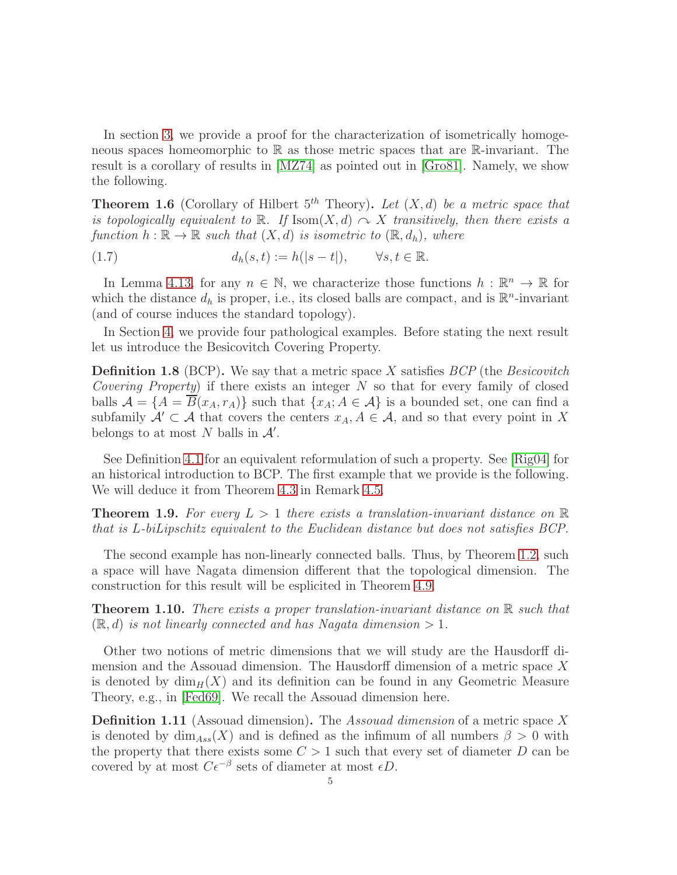In section [3,](#page-11-0) we provide a proof for the characterization of isometrically homogeneous spaces homeomorphic to R as those metric spaces that are R-invariant. The result is a corollary of results in [\[MZ74\]](#page-23-3) as pointed out in [\[Gro81\]](#page-23-4). Namely, we show the following.

<span id="page-4-0"></span>**Theorem 1.6** (Corollary of Hilbert  $5<sup>th</sup>$  Theory). Let  $(X, d)$  be a metric space that is topologically equivalent to  $\mathbb{R}$ . If  $\text{Isom}(X, d) \curvearrowright X$  transitively, then there exists a function  $h : \mathbb{R} \to \mathbb{R}$  such that  $(X, d)$  is isometric to  $(\mathbb{R}, d_h)$ , where

(1.7) 
$$
d_h(s,t) := h(|s-t|), \qquad \forall s,t \in \mathbb{R}.
$$

In Lemma [4.13,](#page-16-1) for any  $n \in \mathbb{N}$ , we characterize those functions  $h : \mathbb{R}^n \to \mathbb{R}$  for which the distance  $d_h$  is proper, i.e., its closed balls are compact, and is  $\mathbb{R}^n$ -invariant (and of course induces the standard topology).

In Section [4,](#page-12-0) we provide four pathological examples. Before stating the next result let us introduce the Besicovitch Covering Property.

**Definition 1.8** (BCP). We say that a metric space X satisfies  $BCP$  (the Besicovitch Covering Property) if there exists an integer  $N$  so that for every family of closed balls  $\mathcal{A} = \{A = \overline{B}(x_A, r_A)\}\$  such that  $\{x_A; A \in \mathcal{A}\}\$ is a bounded set, one can find a subfamily  $\mathcal{A}' \subset \mathcal{A}$  that covers the centers  $x_A, A \in \mathcal{A}$ , and so that every point in X belongs to at most N balls in  $\mathcal{A}'$ .

See Definition [4.1](#page-13-0) for an equivalent reformulation of such a property. See [\[Rig04\]](#page-23-12) for an historical introduction to BCP. The first example that we provide is the following. We will deduce it from Theorem [4.3](#page-13-1) in Remark [4.5.](#page-14-0)

<span id="page-4-1"></span>**Theorem 1.9.** For every  $L > 1$  there exists a translation-invariant distance on  $\mathbb{R}$ that is L-biLipschitz equivalent to the Euclidean distance but does not satisfies BCP.

The second example has non-linearly connected balls. Thus, by Theorem [1.2,](#page-2-1) such a space will have Nagata dimension different that the topological dimension. The construction for this result will be esplicited in Theorem [4.9.](#page-15-1)

**Theorem 1.10.** There exists a proper translation-invariant distance on  $\mathbb{R}$  such that  $(\mathbb{R}, d)$  is not linearly connected and has Nagata dimension  $> 1$ .

Other two notions of metric dimensions that we will study are the Hausdorff dimension and the Assouad dimension. The Hausdorff dimension of a metric space X is denoted by  $\dim_H(X)$  and its definition can be found in any Geometric Measure Theory, e.g., in [\[Fed69\]](#page-23-15). We recall the Assouad dimension here.

**Definition 1.11** (Assouad dimension). The Assound dimension of a metric space X is denoted by  $\dim_{Ass}(X)$  and is defined as the infimum of all numbers  $\beta > 0$  with the property that there exists some  $C > 1$  such that every set of diameter D can be covered by at most  $C\epsilon^{-\beta}$  sets of diameter at most  $\epsilon D$ .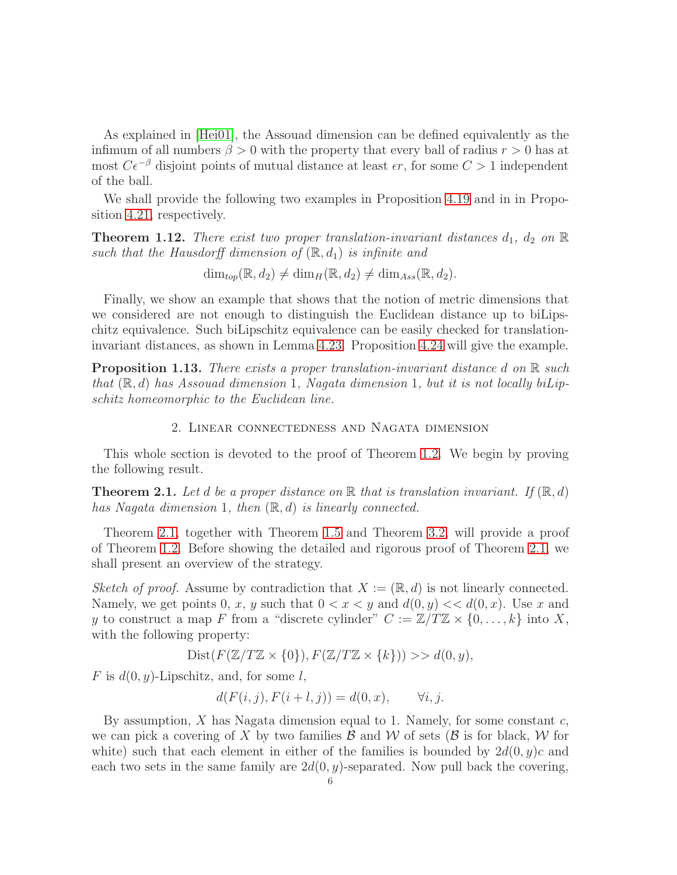As explained in [\[Hei01\]](#page-23-16), the Assouad dimension can be defined equivalently as the infimum of all numbers  $\beta > 0$  with the property that every ball of radius  $r > 0$  has at most  $C\epsilon^{-\beta}$  disjoint points of mutual distance at least  $\epsilon r$ , for some  $C > 1$  independent of the ball.

We shall provide the following two examples in Proposition [4.19](#page-18-0) and in in Proposition [4.21,](#page-19-0) respectively.

**Theorem 1.12.** There exist two proper translation-invariant distances  $d_1$ ,  $d_2$  on  $\mathbb{R}$ such that the Hausdorff dimension of  $(\mathbb{R}, d_1)$  is infinite and

 $\dim_{top}(\mathbb{R}, d_2) \neq \dim_H(\mathbb{R}, d_2) \neq \dim_{Ass}(\mathbb{R}, d_2).$ 

Finally, we show an example that shows that the notion of metric dimensions that we considered are not enough to distinguish the Euclidean distance up to biLipschitz equivalence. Such biLipschitz equivalence can be easily checked for translationinvariant distances, as shown in Lemma [4.23.](#page-20-1) Proposition [4.24](#page-21-0) will give the example.

<span id="page-5-0"></span>**Proposition 1.13.** There exists a proper translation-invariant distance d on  $\mathbb{R}$  such that  $(\mathbb{R}, d)$  has Assouad dimension 1, Nagata dimension 1, but it is not locally biLipschitz homeomorphic to the Euclidean line.

### 2. Linear connectedness and Nagata dimension

This whole section is devoted to the proof of Theorem [1.2.](#page-2-1) We begin by proving the following result.

<span id="page-5-1"></span>**Theorem 2.1.** Let d be a proper distance on R that is translation invariant. If  $(\mathbb{R}, d)$ has Nagata dimension 1, then  $(\mathbb{R}, d)$  is linearly connected.

Theorem [2.1,](#page-5-1) together with Theorem [1.5](#page-3-1) and Theorem [3.2,](#page-11-1) will provide a proof of Theorem [1.2.](#page-2-1) Before showing the detailed and rigorous proof of Theorem [2.1,](#page-5-1) we shall present an overview of the strategy.

Sketch of proof. Assume by contradiction that  $X := (\mathbb{R}, d)$  is not linearly connected. Namely, we get points 0, x, y such that  $0 < x < y$  and  $d(0, y) < d(0, x)$ . Use x and y to construct a map F from a "discrete cylinder"  $C := \mathbb{Z}/T\mathbb{Z} \times \{0,\ldots,k\}$  into X, with the following property:

$$
Dist(F(\mathbb{Z}/T\mathbb{Z}\times\{0\}), F(\mathbb{Z}/T\mathbb{Z}\times\{k\})) >> d(0, y),
$$

F is  $d(0, y)$ -Lipschitz, and, for some l,

$$
d(F(i,j), F(i+l, j)) = d(0, x), \qquad \forall i, j.
$$

By assumption,  $X$  has Nagata dimension equal to 1. Namely, for some constant  $c$ , we can pick a covering of X by two families  $\mathcal B$  and  $\mathcal W$  of sets ( $\mathcal B$  is for black,  $\mathcal W$  for white) such that each element in either of the families is bounded by  $2d(0, y)c$  and each two sets in the same family are  $2d(0, y)$ -separated. Now pull back the covering,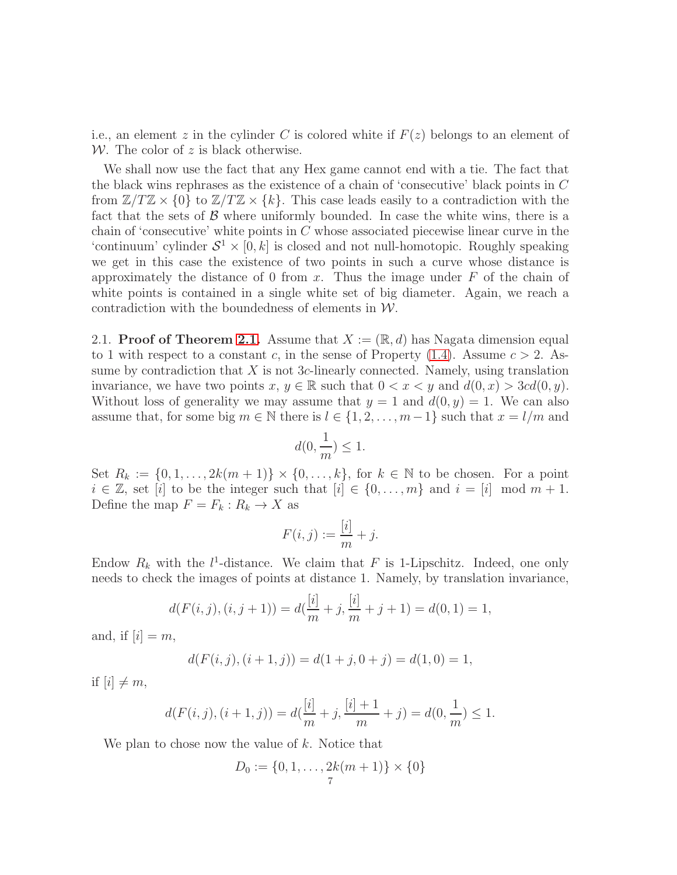i.e., an element z in the cylinder C is colored white if  $F(z)$  belongs to an element of W. The color of  $z$  is black otherwise.

We shall now use the fact that any Hex game cannot end with a tie. The fact that the black wins rephrases as the existence of a chain of 'consecutive' black points in C from  $\mathbb{Z}/T\mathbb{Z} \times \{0\}$  to  $\mathbb{Z}/T\mathbb{Z} \times \{k\}$ . This case leads easily to a contradiction with the fact that the sets of  $\beta$  where uniformly bounded. In case the white wins, there is a chain of 'consecutive' white points in C whose associated piecewise linear curve in the 'continuum' cylinder  $S^1 \times [0, k]$  is closed and not null-homotopic. Roughly speaking we get in this case the existence of two points in such a curve whose distance is approximately the distance of 0 from x. Thus the image under  $F$  of the chain of white points is contained in a single white set of big diameter. Again, we reach a contradiction with the boundedness of elements in  $W$ .

<span id="page-6-0"></span>2.1. Proof of Theorem [2.1.](#page-5-1) Assume that  $X := (\mathbb{R}, d)$  has Nagata dimension equal to 1 with respect to a constant c, in the sense of Property  $(1.4)$ . Assume  $c > 2$ . Assume by contradiction that  $X$  is not 3c-linearly connected. Namely, using translation invariance, we have two points  $x, y \in \mathbb{R}$  such that  $0 < x < y$  and  $d(0, x) > 3cd(0, y)$ . Without loss of generality we may assume that  $y = 1$  and  $d(0, y) = 1$ . We can also assume that, for some big  $m \in \mathbb{N}$  there is  $l \in \{1, 2, \ldots, m-1\}$  such that  $x = l/m$  and

$$
d(0,\frac{1}{m})\leq 1.
$$

Set  $R_k := \{0, 1, \ldots, 2k(m+1)\} \times \{0, \ldots, k\}$ , for  $k \in \mathbb{N}$  to be chosen. For a point  $i \in \mathbb{Z}$ , set [i] to be the integer such that  $[i] \in \{0, \ldots, m\}$  and  $i = [i] \mod m + 1$ . Define the map  $F = F_k : R_k \to X$  as

$$
F(i,j) := \frac{[i]}{m} + j.
$$

Endow  $R_k$  with the  $l^1$ -distance. We claim that F is 1-Lipschitz. Indeed, one only needs to check the images of points at distance 1. Namely, by translation invariance,

$$
d(F(i,j), (i,j+1)) = d(\frac{[i]}{m} + j, \frac{[i]}{m} + j + 1) = d(0,1) = 1,
$$

and, if  $[i] = m$ ,

$$
d(F(i,j), (i+1,j)) = d(1+j, 0+j) = d(1,0) = 1,
$$

if  $[i] \neq m$ ,

$$
d(F(i,j), (i+1,j)) = d(\frac{[i]}{m} + j, \frac{[i]+1}{m} + j) = d(0, \frac{1}{m}) \le 1.
$$

We plan to chose now the value of  $k$ . Notice that

$$
D_0 := \{0, 1, \dots, 2k(m+1)\} \times \{0\}
$$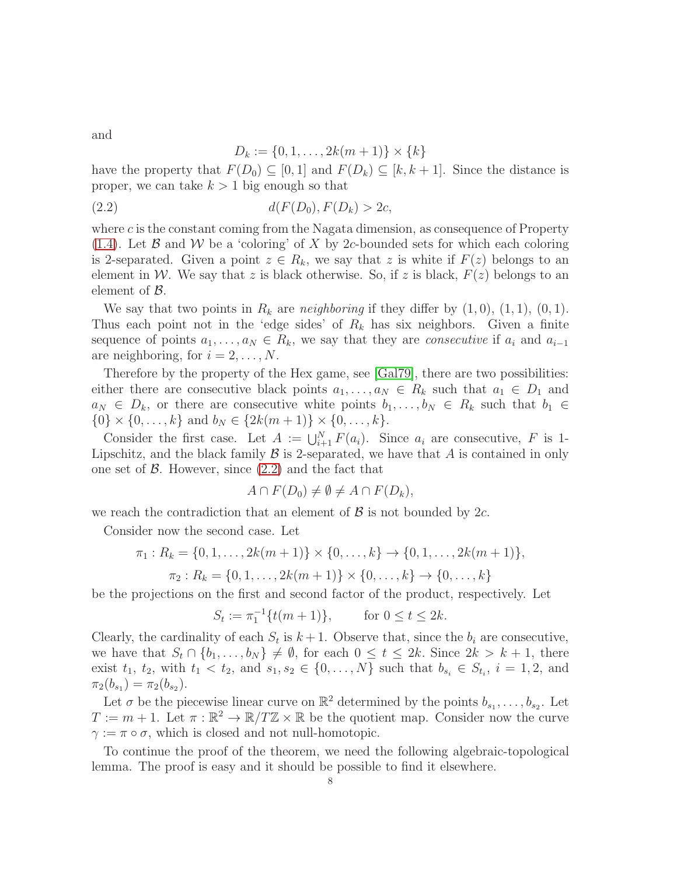and

<span id="page-7-0"></span>
$$
D_k := \{0, 1, \dots, 2k(m+1)\} \times \{k\}
$$

have the property that  $F(D_0) \subseteq [0,1]$  and  $F(D_k) \subseteq [k, k+1]$ . Since the distance is proper, we can take  $k > 1$  big enough so that

(2.2) 
$$
d(F(D_0), F(D_k) > 2c,
$$

where  $c$  is the constant coming from the Nagata dimension, as consequence of Property [\(1.4\)](#page-3-2). Let  $\beta$  and  $\mathcal W$  be a 'coloring' of X by 2c-bounded sets for which each coloring is 2-separated. Given a point  $z \in R_k$ , we say that z is white if  $F(z)$  belongs to an element in W. We say that z is black otherwise. So, if z is black,  $F(z)$  belongs to an element of  $\beta$ .

We say that two points in  $R_k$  are *neighboring* if they differ by  $(1, 0), (1, 1), (0, 1)$ . Thus each point not in the 'edge sides' of  $R_k$  has six neighbors. Given a finite sequence of points  $a_1, \ldots, a_N \in R_k$ , we say that they are *consecutive* if  $a_i$  and  $a_{i-1}$ are neighboring, for  $i = 2, \ldots, N$ .

Therefore by the property of the Hex game, see [\[Gal79\]](#page-23-17), there are two possibilities: either there are consecutive black points  $a_1, \ldots, a_N \in R_k$  such that  $a_1 \in D_1$  and  $a_N \in D_k$ , or there are consecutive white points  $b_1, \ldots, b_N \in R_k$  such that  $b_1 \in$  $\{0\} \times \{0, \ldots, k\}$  and  $b_N \in \{2k(m+1)\} \times \{0, \ldots, k\}.$ 

Consider the first case. Let  $A := \bigcup_{i=1}^{N} F(a_i)$ . Since  $a_i$  are consecutive, F is 1-Lipschitz, and the black family  $\mathcal B$  is 2-separated, we have that  $A$  is contained in only one set of  $\beta$ . However, since  $(2.2)$  and the fact that

$$
A \cap F(D_0) \neq \emptyset \neq A \cap F(D_k),
$$

we reach the contradiction that an element of  $\beta$  is not bounded by 2c.

Consider now the second case. Let

$$
\pi_1: R_k = \{0, 1, \dots, 2k(m+1)\} \times \{0, \dots, k\} \to \{0, 1, \dots, 2k(m+1)\},
$$
  

$$
\pi_2: R_k = \{0, 1, \dots, 2k(m+1)\} \times \{0, \dots, k\} \to \{0, \dots, k\}
$$

be the projections on the first and second factor of the product, respectively. Let

$$
S_t := \pi_1^{-1}\{t(m+1)\}, \qquad \text{for } 0 \le t \le 2k.
$$

Clearly, the cardinality of each  $S_t$  is  $k+1$ . Observe that, since the  $b_i$  are consecutive, we have that  $S_t \cap \{b_1, \ldots, b_N\} \neq \emptyset$ , for each  $0 \leq t \leq 2k$ . Since  $2k > k+1$ , there exist  $t_1, t_2$ , with  $t_1 < t_2$ , and  $s_1, s_2 \in \{0, ..., N\}$  such that  $b_{s_i} \in S_{t_i}, i = 1, 2$ , and  $\pi_2(b_{s_1}) = \pi_2(b_{s_2}).$ 

Let  $\sigma$  be the piecewise linear curve on  $\mathbb{R}^2$  determined by the points  $b_{s_1}, \ldots, b_{s_2}$ . Let  $T := m + 1$ . Let  $\pi : \mathbb{R}^2 \to \mathbb{R}/T\mathbb{Z} \times \mathbb{R}$  be the quotient map. Consider now the curve  $\gamma := \pi \circ \sigma$ , which is closed and not null-homotopic.

To continue the proof of the theorem, we need the following algebraic-topological lemma. The proof is easy and it should be possible to find it elsewhere.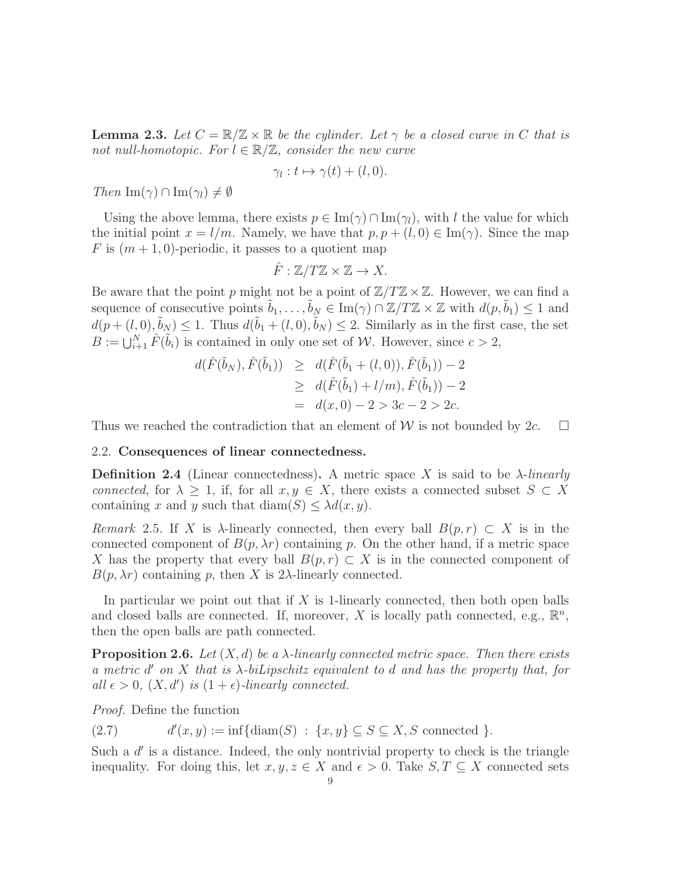**Lemma 2.3.** Let  $C = \mathbb{R}/\mathbb{Z} \times \mathbb{R}$  be the cylinder. Let  $\gamma$  be a closed curve in C that is not null-homotopic. For  $l \in \mathbb{R}/\mathbb{Z}$ , consider the new curve

$$
\gamma_l: t \mapsto \gamma(t) + (l, 0).
$$

Then  $\text{Im}(\gamma) \cap \text{Im}(\gamma_i) \neq \emptyset$ 

Using the above lemma, there exists  $p \in \text{Im}(\gamma) \cap \text{Im}(\gamma_l)$ , with l the value for which the initial point  $x = l/m$ . Namely, we have that  $p, p + (l, 0) \in \text{Im}(\gamma)$ . Since the map F is  $(m+1,0)$ -periodic, it passes to a quotient map

$$
\hat{F}:\mathbb{Z}/T\mathbb{Z}\times\mathbb{Z}\to X.
$$

Be aware that the point p might not be a point of  $\mathbb{Z}/T\mathbb{Z}\times\mathbb{Z}$ . However, we can find a sequence of consecutive points  $\tilde{b}_1, \ldots, \tilde{b}_N \in \text{Im}(\gamma) \cap \mathbb{Z}/T\mathbb{Z} \times \mathbb{Z}$  with  $d(p, \tilde{b}_1) \leq 1$  and  $d(p+(l,0),\tilde{b}_N) \leq 1$ . Thus  $d(\tilde{b}_1+(l,0),\tilde{b}_N) \leq 2$ . Similarly as in the first case, the set  $B := \bigcup_{i=1}^N \hat{F}(\tilde{b}_i)$  is contained in only one set of W. However, since  $c > 2$ ,

$$
d(\hat{F}(\tilde{b}_N), \hat{F}(\tilde{b}_1)) \ge d(\hat{F}(\tilde{b}_1 + (l, 0)), \hat{F}(\tilde{b}_1)) - 2
$$
  
\n
$$
\ge d(\hat{F}(\tilde{b}_1) + l/m), \hat{F}(\tilde{b}_1)) - 2
$$
  
\n
$$
= d(x, 0) - 2 > 3c - 2 > 2c.
$$

<span id="page-8-0"></span>Thus we reached the contradiction that an element of W is not bounded by  $2c$ .  $\Box$ 

#### 2.2. Consequences of linear connectedness.

**Definition 2.4** (Linear connectedness). A metric space X is said to be  $\lambda$ -linearly connected, for  $\lambda \geq 1$ , if, for all  $x, y \in X$ , there exists a connected subset  $S \subset X$ containing x and y such that  $\text{diam}(S) \leq \lambda d(x, y)$ .

<span id="page-8-1"></span>Remark 2.5. If X is  $\lambda$ -linearly connected, then every ball  $B(p,r) \subset X$  is in the connected component of  $B(p, \lambda r)$  containing p. On the other hand, if a metric space X has the property that every ball  $B(p, r) \subset X$  is in the connected component of  $B(p, \lambda r)$  containing p, then X is 2 $\lambda$ -linearly connected.

In particular we point out that if  $X$  is 1-linearly connected, then both open balls and closed balls are connected. If, moreover, X is locally path connected, e.g.,  $\mathbb{R}^n$ , then the open balls are path connected.

<span id="page-8-2"></span>**Proposition 2.6.** Let  $(X, d)$  be a  $\lambda$ -linearly connected metric space. Then there exists a metric  $d'$  on  $X$  that is  $\lambda$ -biLipschitz equivalent to  $d$  and has the property that, for all  $\epsilon > 0$ ,  $(X, d')$  is  $(1 + \epsilon)$ -linearly connected.

Proof. Define the function

 $(2.7)$  $\mathcal{U}(x, y) := \inf \{ \text{diam}(S) : \{x, y\} \subseteq S \subseteq X, S \text{ connected } \}.$ 

Such a  $d'$  is a distance. Indeed, the only nontrivial property to check is the triangle inequality. For doing this, let  $x, y, z \in X$  and  $\epsilon > 0$ . Take  $S, T \subseteq X$  connected sets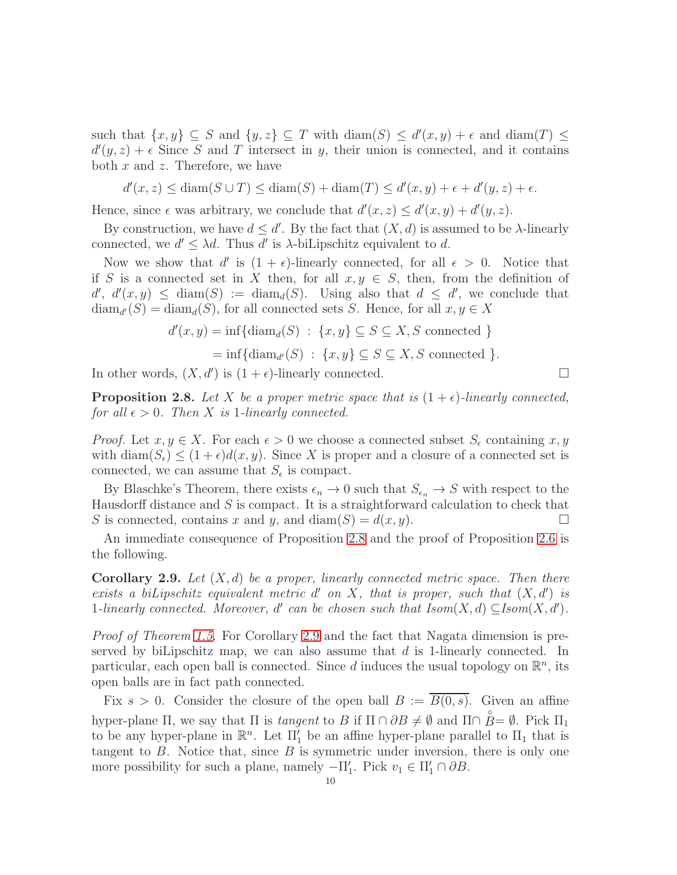such that  $\{x, y\} \subseteq S$  and  $\{y, z\} \subseteq T$  with  $\text{diam}(S) \leq d'(x, y) + \epsilon$  and  $\text{diam}(T) \leq$  $d'(y, z) + \epsilon$  Since S and T intersect in y, their union is connected, and it contains both  $x$  and  $z$ . Therefore, we have

 $d'(x, z) \leq \text{diam}(S \cup T) \leq \text{diam}(S) + \text{diam}(T) \leq d'(x, y) + \epsilon + d'(y, z) + \epsilon.$ 

Hence, since  $\epsilon$  was arbitrary, we conclude that  $d'(x, z) \leq d'(x, y) + d'(y, z)$ .

By construction, we have  $d \leq d'$ . By the fact that  $(X, d)$  is assumed to be  $\lambda$ -linearly connected, we  $d' \leq \lambda d$ . Thus d' is  $\lambda$ -biLipschitz equivalent to d.

Now we show that d' is  $(1 + \epsilon)$ -linearly connected, for all  $\epsilon > 0$ . Notice that if S is a connected set in X then, for all  $x, y \in S$ , then, from the definition of  $d', d'(x, y) \leq \text{diam}(S) := \text{diam}_d(S)$ . Using also that  $d \leq d'$ , we conclude that  $\text{diam}_{d'}(S) = \text{diam}_{d}(S)$ , for all connected sets S. Hence, for all  $x, y \in X$ 

$$
d'(x, y) = \inf \{ \operatorname{diam}_d(S) : \{x, y\} \subseteq S \subseteq X, S \text{ connected } \}
$$

$$
= \inf \{ \operatorname{diam}_{d'}(S) : \{x, y\} \subseteq S \subseteq X, S \text{ connected } \}.
$$

In other words,  $(X, d')$  is  $(1 + \epsilon)$ -linearly connected.

<span id="page-9-0"></span>**Proposition 2.8.** Let X be a proper metric space that is  $(1 + \epsilon)$ -linearly connected, for all  $\epsilon > 0$ . Then X is 1-linearly connected.

*Proof.* Let  $x, y \in X$ . For each  $\epsilon > 0$  we choose a connected subset  $S_{\epsilon}$  containing  $x, y$ with diam( $S_{\epsilon}$ )  $\leq (1+\epsilon)d(x, y)$ . Since X is proper and a closure of a connected set is connected, we can assume that  $S_{\epsilon}$  is compact.

By Blaschke's Theorem, there exists  $\epsilon_n \to 0$  such that  $S_{\epsilon_n} \to S$  with respect to the Hausdorff distance and  $S$  is compact. It is a straightforward calculation to check that S is connected, contains x and y, and diam(S) =  $d(x, y)$ .

An immediate consequence of Proposition [2.8](#page-9-0) and the proof of Proposition [2.6](#page-8-2) is the following.

<span id="page-9-1"></span>**Corollary 2.9.** Let  $(X,d)$  be a proper, linearly connected metric space. Then there exists a biLipschitz equivalent metric  $d'$  on X, that is proper, such that  $(X, d')$  is 1-linearly connected. Moreover, d' can be chosen such that  $Isom(X, d) \subseteq Isom(X, d')$ .

Proof of Theorem [1.5.](#page-3-1) For Corollary [2.9](#page-9-1) and the fact that Nagata dimension is preserved by biLipschitz map, we can also assume that  $d$  is 1-linearly connected. In particular, each open ball is connected. Since d induces the usual topology on  $\mathbb{R}^n$ , its open balls are in fact path connected.

Fix  $s > 0$ . Consider the closure of the open ball  $B := \overline{B(0, s)}$ . Given an affine hyper-plane  $\Pi$ , we say that  $\Pi$  is tangent to  $B$  if  $\Pi \cap \partial B \neq \emptyset$  and  $\Pi \cap \overset{\circ}{B} = \emptyset$ . Pick  $\Pi_1$ to be any hyper-plane in  $\mathbb{R}^n$ . Let  $\Pi'_1$  be an affine hyper-plane parallel to  $\Pi_1$  that is tangent to  $B$ . Notice that, since  $B$  is symmetric under inversion, there is only one more possibility for such a plane, namely  $-\Pi'_1$ . Pick  $v_1 \in \Pi'_1 \cap \partial B$ .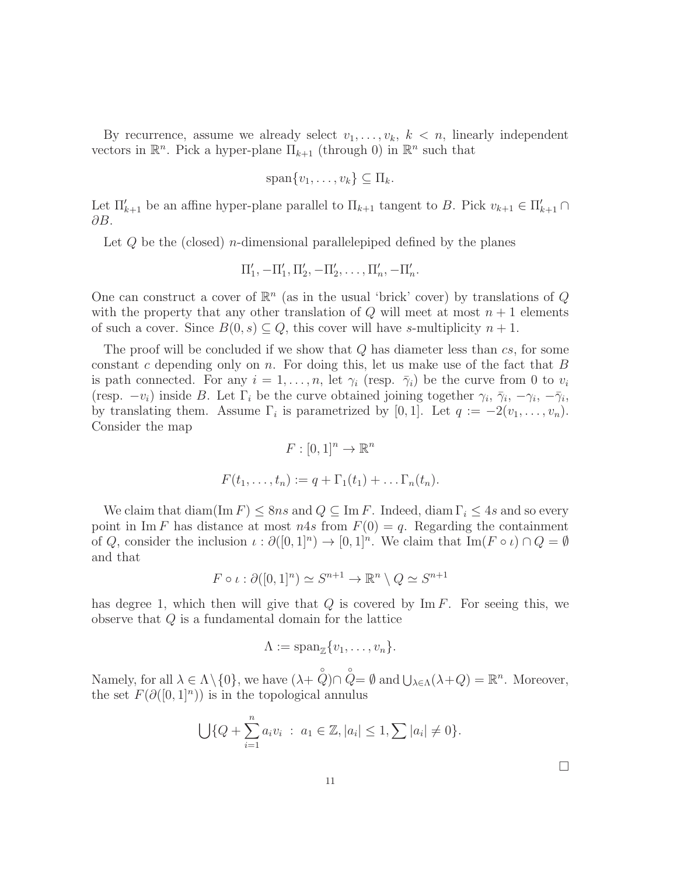By recurrence, assume we already select  $v_1, \ldots, v_k, k < n$ , linearly independent vectors in  $\mathbb{R}^n$ . Pick a hyper-plane  $\Pi_{k+1}$  (through 0) in  $\mathbb{R}^n$  such that

$$
\mathrm{span}\{v_1,\ldots,v_k\}\subseteq\Pi_k.
$$

Let  $\Pi'_{k+1}$  be an affine hyper-plane parallel to  $\Pi_{k+1}$  tangent to B. Pick  $v_{k+1} \in \Pi'_{k+1} \cap$ ∂B.

Let  $Q$  be the (closed) *n*-dimensional parallelepiped defined by the planes

$$
\Pi'_1, -\Pi'_1, \Pi'_2, -\Pi'_2, \ldots, \Pi'_n, -\Pi'_n.
$$

One can construct a cover of  $\mathbb{R}^n$  (as in the usual 'brick' cover) by translations of Q with the property that any other translation of  $Q$  will meet at most  $n + 1$  elements of such a cover. Since  $B(0, s) \subseteq Q$ , this cover will have s-multiplicity  $n + 1$ .

The proof will be concluded if we show that Q has diameter less than cs, for some constant c depending only on n. For doing this, let us make use of the fact that  $B$ is path connected. For any  $i = 1, \ldots, n$ , let  $\gamma_i$  (resp.  $\bar{\gamma}_i$ ) be the curve from 0 to  $v_i$ (resp.  $-v_i$ ) inside B. Let  $\Gamma_i$  be the curve obtained joining together  $\gamma_i$ ,  $\bar{\gamma}_i$ ,  $-\gamma_i$ ,  $-\bar{\gamma}_i$ , by translating them. Assume  $\Gamma_i$  is parametrized by [0, 1]. Let  $q := -2(v_1, \ldots, v_n)$ . Consider the map

$$
F: [0,1]^n \to \mathbb{R}^n
$$

$$
F(t_1, \ldots, t_n) := q + \Gamma_1(t_1) + \ldots \Gamma_n(t_n).
$$

We claim that diam(Im F)  $\leq$  8ns and  $Q \subseteq$  Im F. Indeed, diam  $\Gamma_i \leq 4s$  and so every point in Im F has distance at most  $n4s$  from  $F(0) = q$ . Regarding the containment of Q, consider the inclusion  $\iota : \partial([0,1]^n) \to [0,1]^n$ . We claim that  $\text{Im}(F \circ \iota) \cap Q = \emptyset$ and that

$$
F \circ \iota : \partial([0,1]^n) \simeq S^{n+1} \to \mathbb{R}^n \setminus Q \simeq S^{n+1}
$$

has degree 1, which then will give that  $Q$  is covered by Im F. For seeing this, we observe that Q is a fundamental domain for the lattice

$$
\Lambda := \mathrm{span}_{\mathbb{Z}}\{v_1, \ldots, v_n\}.
$$

Namely, for all  $\lambda \in \Lambda \setminus \{0\}$ , we have  $(\lambda + \hat{Q}) \cap \hat{Q} = \emptyset$  and  $\bigcup_{\lambda \in \Lambda} (\lambda + Q) = \mathbb{R}^n$ . Moreover, the set  $F(\partial([0,1]^n))$  is in the topological annulus

$$
\bigcup \{ Q + \sum_{i=1}^{n} a_i v_i : a_1 \in \mathbb{Z}, |a_i| \leq 1, \sum |a_i| \neq 0 \}.
$$

 $\Box$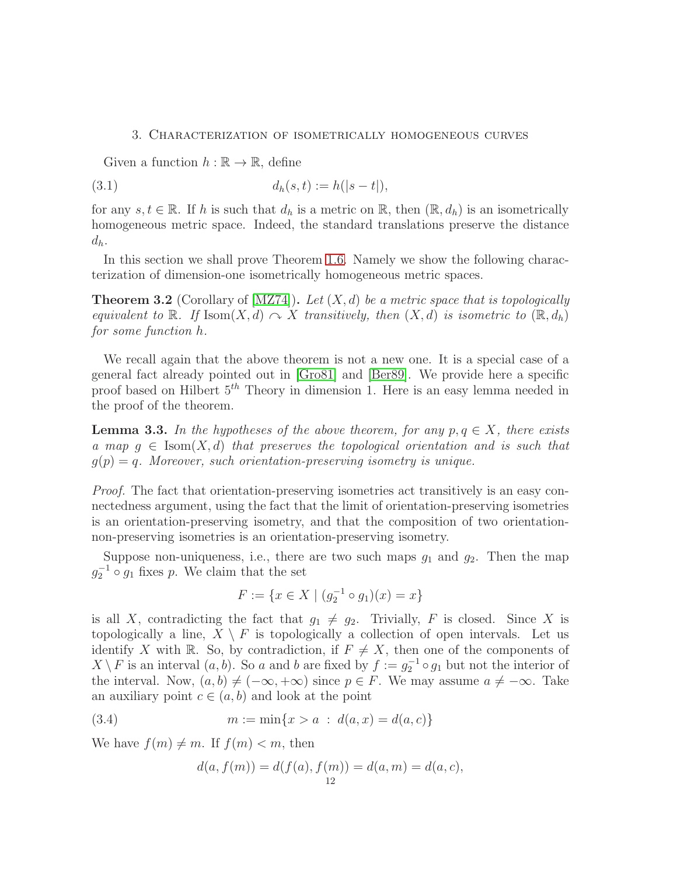#### <span id="page-11-0"></span>3. Characterization of isometrically homogeneous curves

Given a function  $h : \mathbb{R} \to \mathbb{R}$ , define

(3.1) 
$$
d_h(s,t) := h(|s-t|),
$$

for any  $s, t \in \mathbb{R}$ . If h is such that  $d_h$  is a metric on  $\mathbb{R}$ , then  $(\mathbb{R}, d_h)$  is an isometrically homogeneous metric space. Indeed, the standard translations preserve the distance  $d_h$ .

In this section we shall prove Theorem [1.6.](#page-4-0) Namely we show the following characterization of dimension-one isometrically homogeneous metric spaces.

<span id="page-11-1"></span>**Theorem 3.2** (Corollary of [\[MZ74\]](#page-23-3)). Let  $(X, d)$  be a metric space that is topologically equivalent to R. If Isom $(X, d) \curvearrowright X$  transitively, then  $(X, d)$  is isometric to  $(\mathbb{R}, d_h)$ for some function h.

We recall again that the above theorem is not a new one. It is a special case of a general fact already pointed out in [\[Gro81\]](#page-23-4) and [\[Ber89\]](#page-23-5). We provide here a specific proof based on Hilbert  $5<sup>th</sup>$  Theory in dimension 1. Here is an easy lemma needed in the proof of the theorem.

**Lemma 3.3.** In the hypotheses of the above theorem, for any  $p, q \in X$ , there exists a map  $g \in \text{Isom}(X, d)$  that preserves the topological orientation and is such that  $g(p) = q$ . Moreover, such orientation-preserving isometry is unique.

Proof. The fact that orientation-preserving isometries act transitively is an easy connectedness argument, using the fact that the limit of orientation-preserving isometries is an orientation-preserving isometry, and that the composition of two orientationnon-preserving isometries is an orientation-preserving isometry.

Suppose non-uniqueness, i.e., there are two such maps  $g_1$  and  $g_2$ . Then the map  $g_2^{-1} \circ g_1$  fixes p. We claim that the set

$$
F := \{ x \in X \mid (g_2^{-1} \circ g_1)(x) = x \}
$$

is all X, contradicting the fact that  $g_1 \neq g_2$ . Trivially, F is closed. Since X is topologically a line,  $X \setminus F$  is topologically a collection of open intervals. Let us identify X with R. So, by contradiction, if  $F \neq X$ , then one of the components of  $X \setminus F$  is an interval  $(a, b)$ . So a and b are fixed by  $f := g_2^{-1} \circ g_1$  but not the interior of the interval. Now,  $(a, b) \neq (-\infty, +\infty)$  since  $p \in F$ . We may assume  $a \neq -\infty$ . Take an auxiliary point  $c \in (a, b)$  and look at the point

(3.4) 
$$
m := \min\{x > a : d(a, x) = d(a, c)\}
$$

We have  $f(m) \neq m$ . If  $f(m) < m$ , then

$$
d(a, f(m)) = d(f(a), f(m)) = d(a, m) = d(a, c),
$$
<sup>12</sup>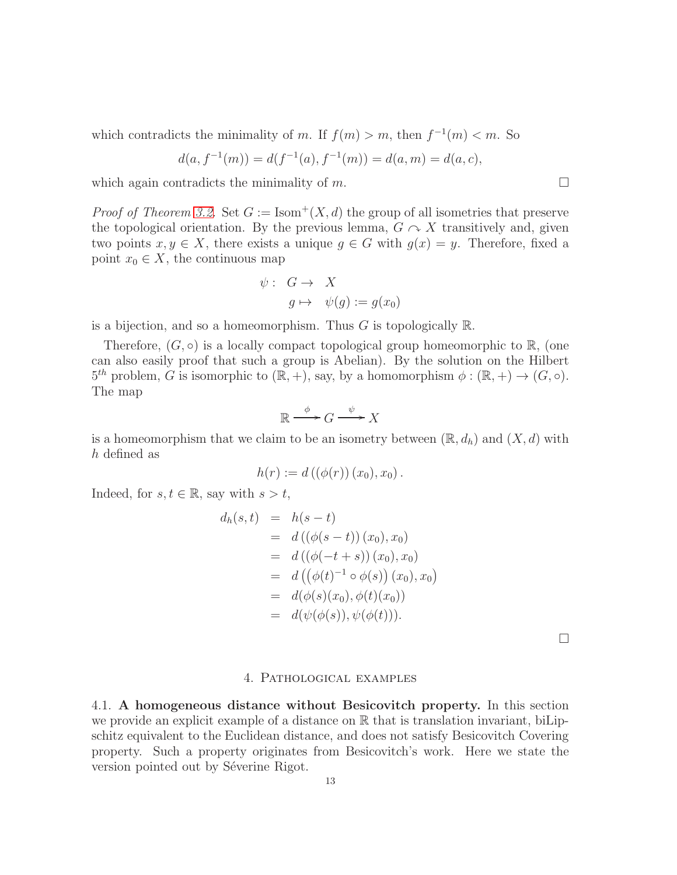which contradicts the minimality of m. If  $f(m) > m$ , then  $f^{-1}(m) < m$ . So

$$
d(a, f^{-1}(m)) = d(f^{-1}(a), f^{-1}(m)) = d(a, m) = d(a, c),
$$

which again contradicts the minimality of  $m$ .

*Proof of Theorem [3.2.](#page-11-1)* Set  $G := \text{Isom}^+(X, d)$  the group of all isometries that preserve the topological orientation. By the previous lemma,  $G \cap X$  transitively and, given two points  $x, y \in X$ , there exists a unique  $g \in G$  with  $g(x) = y$ . Therefore, fixed a point  $x_0 \in X$ , the continuous map

$$
\psi: G \to X
$$
  

$$
g \mapsto \psi(g) := g(x_0)
$$

is a bijection, and so a homeomorphism. Thus  $G$  is topologically  $\mathbb{R}$ .

Therefore,  $(G, \circ)$  is a locally compact topological group homeomorphic to  $\mathbb{R}$ , (one can also easily proof that such a group is Abelian). By the solution on the Hilbert  $5^{th}$  problem, G is isomorphic to  $(\mathbb{R}, +)$ , say, by a homomorphism  $\phi : (\mathbb{R}, +) \to (G, \circ)$ . The map

$$
\mathbb{R} \xrightarrow{\phi} G \xrightarrow{\psi} X
$$

is a homeomorphism that we claim to be an isometry between  $(\mathbb{R}, d_h)$  and  $(X, d)$  with h defined as

$$
h(r) := d((\phi(r))(x_0), x_0).
$$

Indeed, for  $s, t \in \mathbb{R}$ , say with  $s > t$ ,

$$
d_h(s,t) = h(s-t)
$$
  
=  $d((\phi(s-t))(x_0), x_0)$   
=  $d((\phi(-t+s))(x_0), x_0)$   
=  $d((\phi(t)^{-1} \circ \phi(s))(x_0), x_0)$   
=  $d(\phi(s)(x_0), \phi(t)(x_0))$   
=  $d(\psi(\phi(s)), \psi(\phi(t))).$ 

 $\Box$ 

#### 4. Pathological examples

<span id="page-12-1"></span><span id="page-12-0"></span>4.1. A homogeneous distance without Besicovitch property. In this section we provide an explicit example of a distance on  $\mathbb R$  that is translation invariant, biLipschitz equivalent to the Euclidean distance, and does not satisfy Besicovitch Covering property. Such a property originates from Besicovitch's work. Here we state the version pointed out by Séverine Rigot.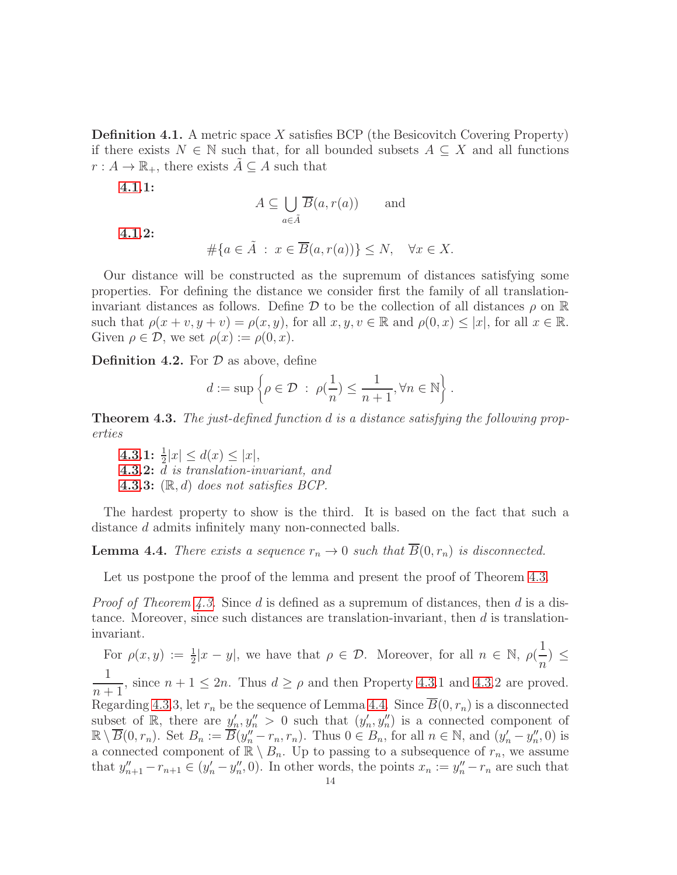<span id="page-13-0"></span>**Definition 4.1.** A metric space X satisfies BCP (the Besicovitch Covering Property) if there exists  $N \in \mathbb{N}$  such that, for all bounded subsets  $A \subseteq X$  and all functions  $r: A \to \mathbb{R}_+$ , there exists  $A \subseteq A$  such that

[4.1.](#page-13-0)1:

$$
A \subseteq \bigcup_{a \in \tilde{A}} \overline{B}(a, r(a)) \qquad \text{and} \qquad
$$

[4.1.](#page-13-0)2:

$$
\#\{a \in \tilde{A} \, : \, x \in \overline{B}(a, r(a))\} \le N, \quad \forall x \in X.
$$

Our distance will be constructed as the supremum of distances satisfying some properties. For defining the distance we consider first the family of all translationinvariant distances as follows. Define  $\mathcal D$  to be the collection of all distances  $\rho$  on  $\mathbb R$ such that  $\rho(x + v, y + v) = \rho(x, y)$ , for all  $x, y, v \in \mathbb{R}$  and  $\rho(0, x) \leq |x|$ , for all  $x \in \mathbb{R}$ . Given  $\rho \in \mathcal{D}$ , we set  $\rho(x) := \rho(0, x)$ .

<span id="page-13-3"></span>**Definition 4.2.** For  $D$  as above, define

$$
d := \sup \left\{ \rho \in \mathcal{D} \; : \; \rho(\frac{1}{n}) \le \frac{1}{n+1}, \forall n \in \mathbb{N} \right\}.
$$

<span id="page-13-1"></span>**Theorem 4.3.** The just-defined function d is a distance satisfying the following properties

[4.3.](#page-13-1)1:  $\frac{1}{2}|x| \leq d(x) \leq |x|,$ [4.3.](#page-13-1)2: d is translation-invariant, and **[4.3.](#page-13-1)3:**  $(\mathbb{R}, d)$  does not satisfies BCP.

The hardest property to show is the third. It is based on the fact that such a distance d admits infinitely many non-connected balls.

<span id="page-13-2"></span>**Lemma 4.4.** There exists a sequence  $r_n \to 0$  such that  $\overline{B}(0,r_n)$  is disconnected.

Let us postpone the proof of the lemma and present the proof of Theorem [4.3.](#page-13-1)

*Proof of Theorem [4.3.](#page-13-1)* Since d is defined as a supremum of distances, then d is a distance. Moreover, since such distances are translation-invariant, then  $d$  is translationinvariant.

For  $\rho(x,y) := \frac{1}{2}|x-y|$ , we have that  $\rho \in \mathcal{D}$ . Moreover, for all  $n \in \mathbb{N}$ ,  $\rho(\frac{1}{n})$  $\frac{1}{n}$ )  $\leq$ 1  $\frac{1}{n+1}$ , since  $n+1 \leq 2n$ . Thus  $d \geq \rho$  and then Property [4.3.](#page-13-1)1 and 4.3.2 are proved. Regarding [4.3.](#page-13-1)3, let  $r_n$  be the sequence of Lemma [4.4.](#page-13-2) Since  $\overline{B}(0, r_n)$  is a disconnected subset of R, there are  $y'_n, y''_n > 0$  such that  $(y'_n, y''_n)$  is a connected component of  $\mathbb{R}\setminus\overline{B}(0,r_n)$ . Set  $B_n := \overline{B}(y''_n - r_n, r_n)$ . Thus  $0 \in B_n$ , for all  $n \in \mathbb{N}$ , and  $(y'_n - y''_n, 0)$  is a connected component of  $\mathbb{R} \setminus B_n$ . Up to passing to a subsequence of  $r_n$ , we assume that  $y''_{n+1} - r_{n+1} \in (y'_n - y''_n, 0)$ . In other words, the points  $x_n := y''_n - r_n$  are such that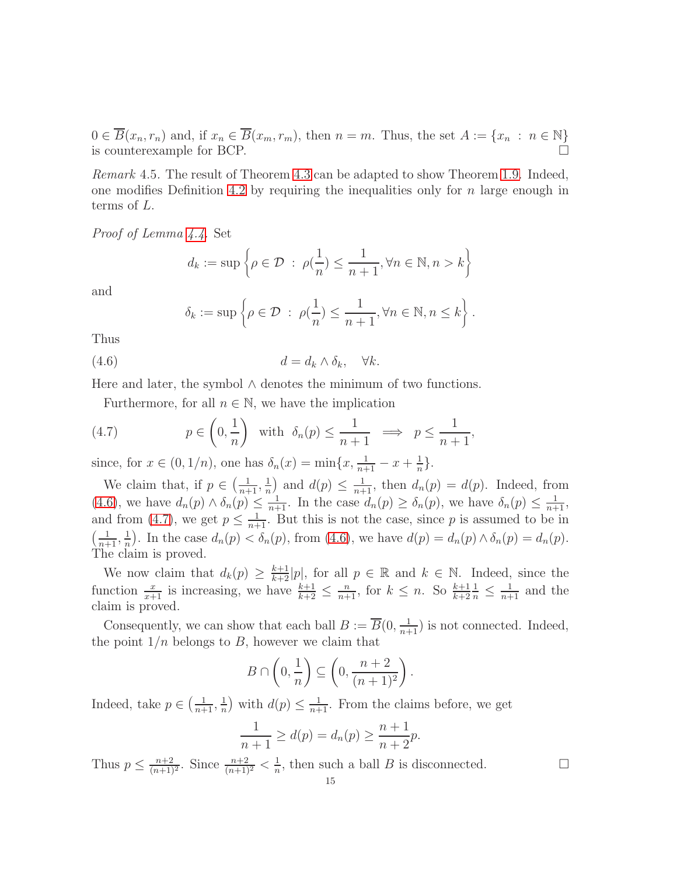$0 \in \overline{B}(x_n, r_n)$  and, if  $x_n \in \overline{B}(x_m, r_m)$ , then  $n = m$ . Thus, the set  $A := \{x_n : n \in \mathbb{N}\}\$ <br>is counterexample for BCP. is counterexample for BCP.

<span id="page-14-0"></span>Remark 4.5. The result of Theorem [4.3](#page-13-1) can be adapted to show Theorem [1.9.](#page-4-1) Indeed, one modifies Definition [4.2](#page-13-3) by requiring the inequalities only for  $n$  large enough in terms of L.

Proof of Lemma [4.4.](#page-13-2) Set

$$
d_k := \sup \left\{ \rho \in \mathcal{D} \; : \; \rho(\frac{1}{n}) \le \frac{1}{n+1}, \forall n \in \mathbb{N}, n > k \right\}
$$

and

<span id="page-14-1"></span>
$$
\delta_k := \sup \left\{ \rho \in \mathcal{D} \; : \; \rho(\frac{1}{n}) \leq \frac{1}{n+1}, \forall n \in \mathbb{N}, n \leq k \right\}.
$$

Thus

$$
(4.6) \t\t d = d_k \wedge \delta_k, \quad \forall k.
$$

Here and later, the symbol  $\land$  denotes the minimum of two functions.

<span id="page-14-2"></span>Furthermore, for all  $n \in \mathbb{N}$ , we have the implication

(4.7) 
$$
p \in \left(0, \frac{1}{n}\right) \text{ with } \delta_n(p) \leq \frac{1}{n+1} \implies p \leq \frac{1}{n+1},
$$

since, for  $x \in (0, 1/n)$ , one has  $\delta_n(x) = \min\{x, \frac{1}{n+1} - x + \frac{1}{n}\}$  $\frac{1}{n}$ .

We claim that, if  $p \in \left(\frac{1}{n+1}, \frac{1}{n}\right)$  $\frac{1}{n}$  and  $d(p) \leq \frac{1}{n+1}$ , then  $d_n(p) = d(p)$ . Indeed, from [\(4.6\)](#page-14-1), we have  $d_n(p) \wedge \delta_n(p) \leq \frac{1}{n+1}$ . In the case  $d_n(p) \geq \delta_n(p)$ , we have  $\delta_n(p) \leq \frac{1}{n+1}$ , and from [\(4.7\)](#page-14-2), we get  $p \leq \frac{1}{n+1}$ . But this is not the case, since p is assumed to be in  $\left(\frac{1}{n+1}, \frac{1}{n}\right)$  $\frac{1}{n}$ . In the case  $d_n(p) < \delta_n(p)$ , from [\(4.6\)](#page-14-1), we have  $d(p) = d_n(p) \wedge \delta_n(p) = d_n(p)$ . The claim is proved.

We now claim that  $d_k(p) \geq \frac{k+1}{k+2}|p|$ , for all  $p \in \mathbb{R}$  and  $k \in \mathbb{N}$ . Indeed, since the function  $\frac{x}{x+1}$  is increasing, we have  $\frac{k+1}{k+2} \leq \frac{n}{n+1}$ , for  $k \leq n$ . So  $\frac{k+1}{k+2}$  $\frac{1}{n} \leq \frac{1}{n+1}$  and the claim is proved.

Consequently, we can show that each ball  $B := \overline{B}(0, \frac{1}{n+1})$  is not connected. Indeed, the point  $1/n$  belongs to B, however we claim that

$$
B \cap \left(0, \frac{1}{n}\right) \subseteq \left(0, \frac{n+2}{(n+1)^2}\right).
$$

Indeed, take  $p \in \left(\frac{1}{n+1}, \frac{1}{n}\right)$  $\frac{1}{n}$ ) with  $d(p) \leq \frac{1}{n+1}$ . From the claims before, we get

$$
\frac{1}{n+1} \ge d(p) = d_n(p) \ge \frac{n+1}{n+2}p.
$$

Thus  $p \leq \frac{n+2}{(n+1)^2}$ . Since  $\frac{n+2}{(n+1)^2} < \frac{1}{n}$  $\frac{1}{n}$ , then such a ball B is disconnected.  $\square$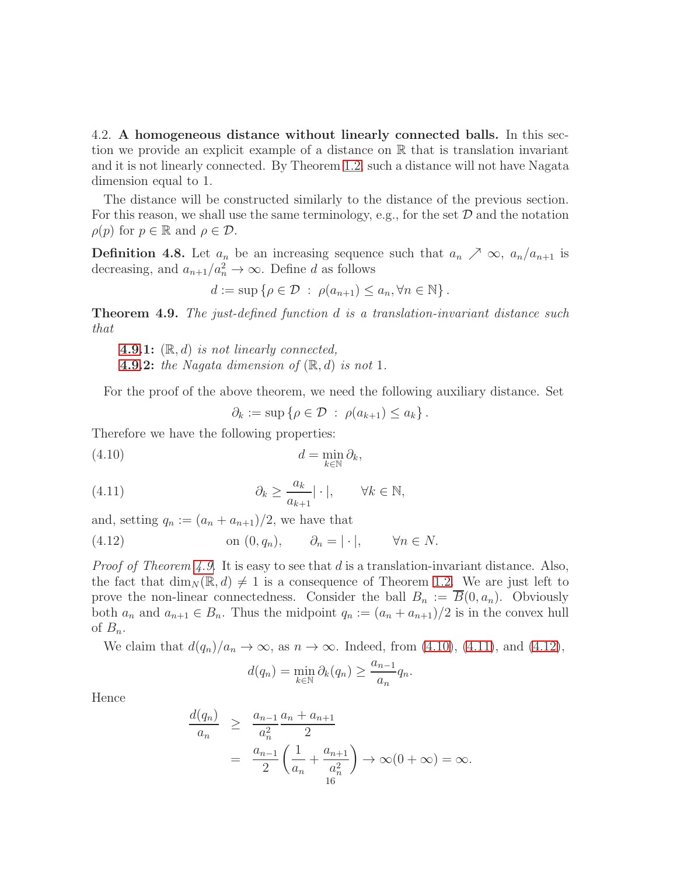<span id="page-15-0"></span>4.2. A homogeneous distance without linearly connected balls. In this section we provide an explicit example of a distance on R that is translation invariant and it is not linearly connected. By Theorem [1.2,](#page-2-1) such a distance will not have Nagata dimension equal to 1.

The distance will be constructed similarly to the distance of the previous section. For this reason, we shall use the same terminology, e.g., for the set  $D$  and the notation  $\rho(p)$  for  $p \in \mathbb{R}$  and  $\rho \in \mathcal{D}$ .

**Definition 4.8.** Let  $a_n$  be an increasing sequence such that  $a_n \nearrow \infty$ ,  $a_n/a_{n+1}$  is decreasing, and  $a_{n+1}/a_n^2 \to \infty$ . Define d as follows

$$
d := \sup \left\{ \rho \in \mathcal{D} \; : \; \rho(a_{n+1}) \le a_n, \forall n \in \mathbb{N} \right\}.
$$

<span id="page-15-1"></span>**Theorem 4.9.** The just-defined function d is a translation-invariant distance such that

**[4.9.](#page-15-1)1:**  $(\mathbb{R}, d)$  is not linearly connected, **[4.9.](#page-15-1)2:** the Nagata dimension of  $(\mathbb{R}, d)$  is not 1.

For the proof of the above theorem, we need the following auxiliary distance. Set

<span id="page-15-3"></span><span id="page-15-2"></span> $\partial_k := \sup \{ \rho \in \mathcal{D} \; : \; \rho(a_{k+1}) \leq a_k \}.$ 

Therefore we have the following properties:

$$
(4.10) \t\t d = \min_{k \in \mathbb{N}} \partial_k,
$$

(4.11) 
$$
\partial_k \ge \frac{a_k}{a_{k+1}} |\cdot|, \qquad \forall k \in \mathbb{N},
$$

and, setting  $q_n := (a_n + a_{n+1})/2$ , we have that

(4.12) on 
$$
(0, q_n)
$$
,  $\partial_n = |\cdot|$ ,  $\forall n \in N$ .

*Proof of Theorem [4.9.](#page-15-1)* It is easy to see that d is a translation-invariant distance. Also, the fact that  $\dim_N(\mathbb{R}, d) \neq 1$  is a consequence of Theorem [1.2.](#page-2-1) We are just left to prove the non-linear connectedness. Consider the ball  $B_n := \overline{B}(0, a_n)$ . Obviously both  $a_n$  and  $a_{n+1} \in B_n$ . Thus the midpoint  $q_n := (a_n + a_{n+1})/2$  is in the convex hull of  $B_n$ .

We claim that  $d(q_n)/a_n \to \infty$ , as  $n \to \infty$ . Indeed, from [\(4.10\)](#page-15-2), [\(4.11\)](#page-15-3), and [\(4.12\)](#page-15-4),

<span id="page-15-4"></span>
$$
d(q_n) = \min_{k \in \mathbb{N}} \partial_k(q_n) \ge \frac{a_{n-1}}{a_n} q_n.
$$

Hence

$$
\frac{d(q_n)}{a_n} \ge \frac{a_{n-1}}{a_n^2} \frac{a_n + a_{n+1}}{2}
$$
  
= 
$$
\frac{a_{n-1}}{2} \left( \frac{1}{a_n} + \frac{a_{n+1}}{a_n^2} \right) \to \infty (0 + \infty) = \infty.
$$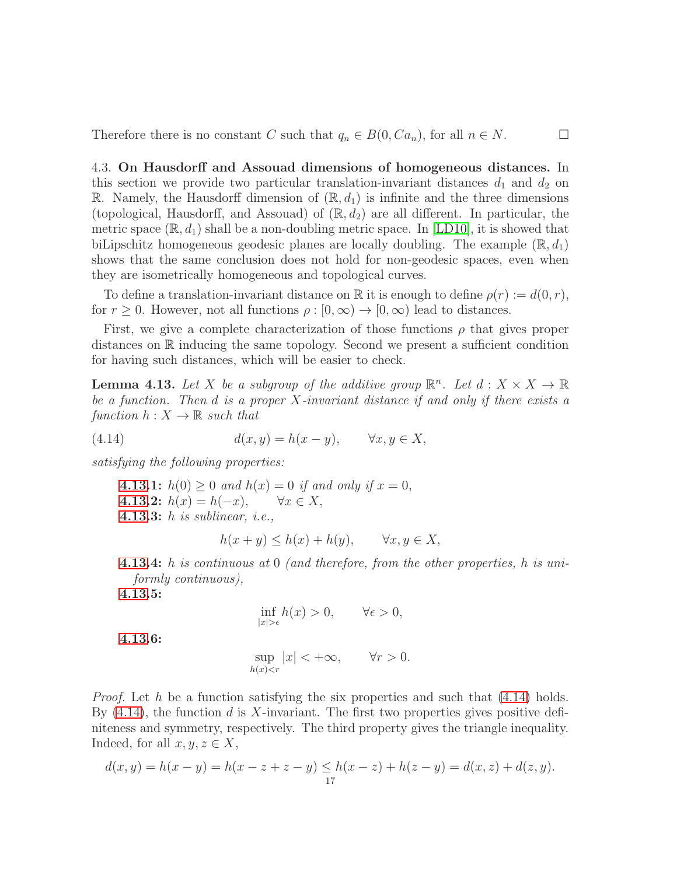<span id="page-16-0"></span>Therefore there is no constant C such that  $q_n \in B(0, Ca_n)$ , for all  $n \in N$ .

4.3. On Hausdorff and Assouad dimensions of homogeneous distances. In this section we provide two particular translation-invariant distances  $d_1$  and  $d_2$  on R. Namely, the Hausdorff dimension of  $(\mathbb{R}, d_1)$  is infinite and the three dimensions (topological, Hausdorff, and Assouad) of  $(\mathbb{R}, d_2)$  are all different. In particular, the metric space  $(\mathbb{R}, d_1)$  shall be a non-doubling metric space. In [\[LD10\]](#page-23-18), it is showed that biLipschitz homogeneous geodesic planes are locally doubling. The example  $(\mathbb{R}, d_1)$ shows that the same conclusion does not hold for non-geodesic spaces, even when they are isometrically homogeneous and topological curves.

To define a translation-invariant distance on R it is enough to define  $\rho(r) := d(0, r)$ , for  $r \geq 0$ . However, not all functions  $\rho : [0, \infty) \to [0, \infty)$  lead to distances.

First, we give a complete characterization of those functions  $\rho$  that gives proper distances on R inducing the same topology. Second we present a sufficient condition for having such distances, which will be easier to check.

<span id="page-16-1"></span>**Lemma 4.13.** Let X be a subgroup of the additive group  $\mathbb{R}^n$ . Let  $d: X \times X \to \mathbb{R}$ be a function. Then  $d$  is a proper  $X$ -invariant distance if and only if there exists a function  $h: X \to \mathbb{R}$  such that

(4.14) 
$$
d(x,y) = h(x-y), \qquad \forall x, y \in X,
$$

satisfying the following properties:

[4.13.](#page-16-1)1:  $h(0) \ge 0$  and  $h(x) = 0$  if and only if  $x = 0$ , [4.13.](#page-16-1)2:  $h(x) = h(-x), \quad \forall x \in X,$ [4.13.](#page-16-1)3: h is sublinear, i.e.,

<span id="page-16-2"></span>
$$
h(x + y) \le h(x) + h(y), \qquad \forall x, y \in X,
$$

[4.13.](#page-16-1)4: h is continuous at 0 (and therefore, from the other properties, h is uniformly continuous),

[4.13.](#page-16-1)5:

$$
\inf_{|x|>\epsilon} h(x) > 0, \qquad \forall \epsilon > 0,
$$

[4.13.](#page-16-1)6:

$$
\sup_{h(x)0.
$$

*Proof.* Let h be a function satisfying the six properties and such that  $(4.14)$  holds. By  $(4.14)$ , the function d is X-invariant. The first two properties gives positive definiteness and symmetry, respectively. The third property gives the triangle inequality. Indeed, for all  $x, y, z \in X$ ,

$$
d(x, y) = h(x - y) = h(x - z + z - y) \leq h(x - z) + h(z - y) = d(x, z) + d(z, y).
$$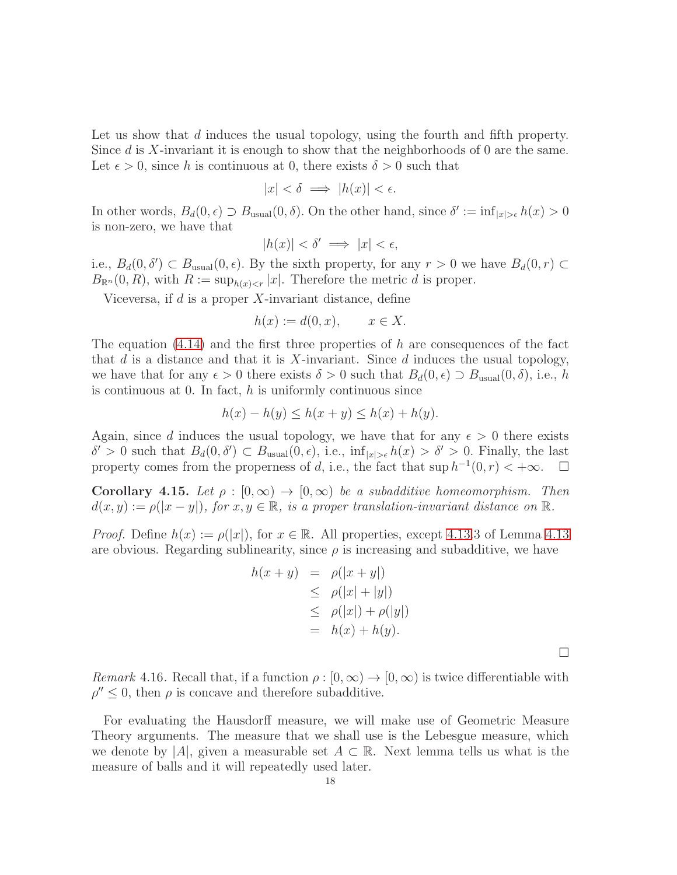Let us show that d induces the usual topology, using the fourth and fifth property. Since  $d$  is X-invariant it is enough to show that the neighborhoods of 0 are the same. Let  $\epsilon > 0$ , since h is continuous at 0, there exists  $\delta > 0$  such that

$$
|x| < \delta \implies |h(x)| < \epsilon.
$$

In other words,  $B_d(0, \epsilon) \supset B_{\text{usual}}(0, \delta)$ . On the other hand, since  $\delta' := \inf_{|x| > \epsilon} h(x) > 0$ is non-zero, we have that

$$
|h(x)| < \delta' \implies |x| < \epsilon,
$$

i.e.,  $B_d(0, \delta') \subset B_{\text{usual}}(0, \epsilon)$ . By the sixth property, for any  $r > 0$  we have  $B_d(0, r) \subset$  $B_{\mathbb{R}^n}(0,R)$ , with  $R := \sup_{h(x) < r} |x|$ . Therefore the metric d is proper.

Viceversa, if  $d$  is a proper  $X$ -invariant distance, define

$$
h(x) := d(0, x), \qquad x \in X.
$$

The equation  $(4.14)$  and the first three properties of h are consequences of the fact that  $d$  is a distance and that it is  $X$ -invariant. Since  $d$  induces the usual topology, we have that for any  $\epsilon > 0$  there exists  $\delta > 0$  such that  $B_d(0, \epsilon) \supset B_{\text{usual}}(0, \delta)$ , i.e., h is continuous at 0. In fact,  $h$  is uniformly continuous since

$$
h(x) - h(y) \le h(x + y) \le h(x) + h(y).
$$

Again, since d induces the usual topology, we have that for any  $\epsilon > 0$  there exists  $δ' > 0$  such that  $B<sub>d</sub>(0, δ') ⊂ B<sub>usual</sub>(0, ε)$ , i.e., inf<sub>|x|>ε</sub> h(x) > δ' > 0. Finally, the last property comes from the properness of d, i.e., the fact that  $\sup h^{-1}(0,r) < +\infty$ .  $\Box$ 

<span id="page-17-0"></span>Corollary 4.15. Let  $\rho : [0, \infty) \to [0, \infty)$  be a subadditive homeomorphism. Then  $d(x, y) := \rho(|x - y|)$ , for  $x, y \in \mathbb{R}$ , is a proper translation-invariant distance on  $\mathbb{R}$ .

*Proof.* Define  $h(x) := \rho(|x|)$ , for  $x \in \mathbb{R}$ . All properties, except [4.13.](#page-16-1)3 of Lemma [4.13](#page-16-1) are obvious. Regarding sublinearity, since  $\rho$  is increasing and subadditive, we have

$$
h(x + y) = \rho(|x + y|)
$$
  
\n
$$
\leq \rho(|x| + |y|)
$$
  
\n
$$
\leq \rho(|x|) + \rho(|y|)
$$
  
\n
$$
= h(x) + h(y).
$$

 $\Box$ 

<span id="page-17-1"></span>Remark 4.16. Recall that, if a function  $\rho : [0, \infty) \to [0, \infty)$  is twice differentiable with  $\rho'' \leq 0$ , then  $\rho$  is concave and therefore subadditive.

For evaluating the Hausdorff measure, we will make use of Geometric Measure Theory arguments. The measure that we shall use is the Lebesgue measure, which we denote by |A|, given a measurable set  $A \subset \mathbb{R}$ . Next lemma tells us what is the measure of balls and it will repeatedly used later.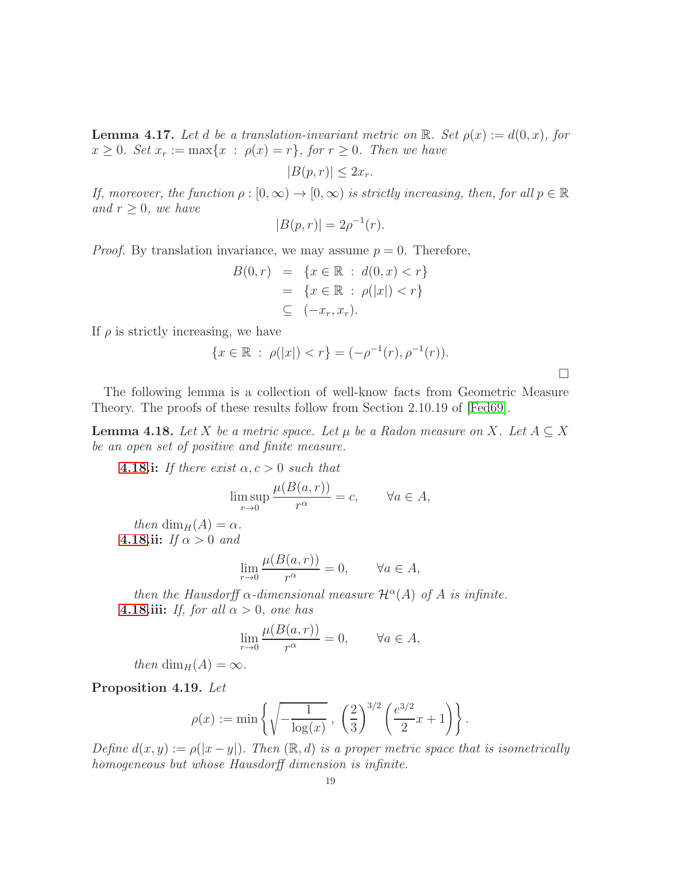<span id="page-18-2"></span>**Lemma 4.17.** Let d be a translation-invariant metric on  $\mathbb{R}$ . Set  $\rho(x) := d(0, x)$ , for  $x \geq 0$ . Set  $x_r := \max\{x : \rho(x) = r\}$ , for  $r \geq 0$ . Then we have

$$
|B(p,r)| \le 2x_r.
$$

If, moreover, the function  $\rho : [0, \infty) \to [0, \infty)$  is strictly increasing, then, for all  $p \in \mathbb{R}$ and  $r \geq 0$ , we have

$$
|B(p,r)| = 2\rho^{-1}(r).
$$

*Proof.* By translation invariance, we may assume  $p = 0$ . Therefore,

$$
B(0,r) = \{x \in \mathbb{R} : d(0,x) < r\} \\
= \{x \in \mathbb{R} : \rho(|x|) < r\} \\
\subseteq (-x_r, x_r).
$$

If  $\rho$  is strictly increasing, we have

$$
\{x \in \mathbb{R} : \rho(|x|) < r\} = (-\rho^{-1}(r), \rho^{-1}(r)).
$$

 $\Box$ 

The following lemma is a collection of well-know facts from Geometric Measure Theory. The proofs of these results follow from Section 2.10.19 of [\[Fed69\]](#page-23-15).

<span id="page-18-1"></span>**Lemma 4.18.** Let X be a metric space. Let  $\mu$  be a Radon measure on X. Let  $A \subseteq X$ be an open set of positive and finite measure.

**[4.18.](#page-18-1)i:** If there exist  $\alpha, c > 0$  such that

$$
\limsup_{r \to 0} \frac{\mu(B(a, r))}{r^{\alpha}} = c, \qquad \forall a \in A,
$$

then dim<sub>H</sub>(A) =  $\alpha$ . [4.18.](#page-18-1)ii: If  $\alpha > 0$  and

$$
\lim_{r \to 0} \frac{\mu(B(a, r))}{r^{\alpha}} = 0, \qquad \forall a \in A,
$$

then the Hausdorff  $\alpha$ -dimensional measure  $\mathcal{H}^{\alpha}(A)$  of A is infinite. **[4.18.](#page-18-1)iii:** If, for all  $\alpha > 0$ , one has

$$
\lim_{r \to 0} \frac{\mu(B(a, r))}{r^{\alpha}} = 0, \qquad \forall a \in A,
$$

then dim<sub>H</sub>(A) =  $\infty$ .

<span id="page-18-0"></span>Proposition 4.19. Let

$$
\rho(x) := \min \left\{ \sqrt{-\frac{1}{\log(x)}} , \left( \frac{2}{3} \right)^{3/2} \left( \frac{e^{3/2}}{2} x + 1 \right) \right\}.
$$

Define  $d(x, y) := \rho(|x - y|)$ . Then  $(\mathbb{R}, d)$  is a proper metric space that is isometrically homogeneous but whose Hausdorff dimension is infinite.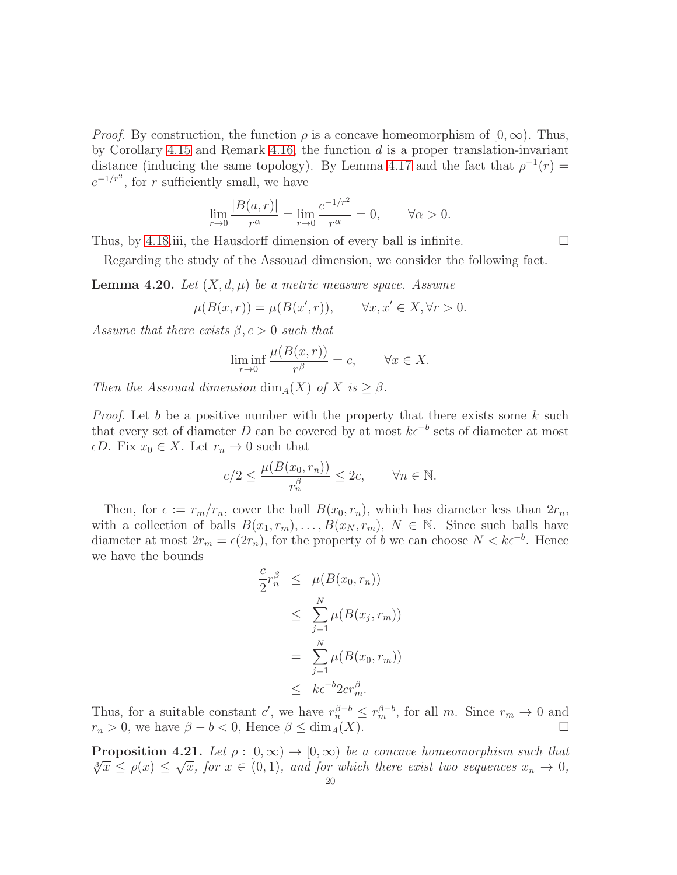*Proof.* By construction, the function  $\rho$  is a concave homeomorphism of  $[0, \infty)$ . Thus, by Corollary [4.15](#page-17-0) and Remark [4.16,](#page-17-1) the function  $d$  is a proper translation-invariant distance (inducing the same topology). By Lemma [4.17](#page-18-2) and the fact that  $\rho^{-1}(r) =$  $e^{-1/r^2}$ , for r sufficiently small, we have

$$
\lim_{r \to 0} \frac{|B(a, r)|}{r^{\alpha}} = \lim_{r \to 0} \frac{e^{-1/r^2}}{r^{\alpha}} = 0, \quad \forall \alpha > 0.
$$

Thus, by [4.18.](#page-18-1)iii, the Hausdorff dimension of every ball is infinite.  $\Box$ 

Regarding the study of the Assouad dimension, we consider the following fact.

<span id="page-19-1"></span>**Lemma 4.20.** Let  $(X, d, \mu)$  be a metric measure space. Assume

$$
\mu(B(x,r)) = \mu(B(x',r)), \qquad \forall x, x' \in X, \forall r > 0.
$$

Assume that there exists  $\beta, c > 0$  such that

$$
\liminf_{r \to 0} \frac{\mu(B(x, r))}{r^{\beta}} = c, \qquad \forall x \in X.
$$

Then the Assouad dimension  $\dim_A(X)$  of X is  $\geq \beta$ .

*Proof.* Let b be a positive number with the property that there exists some k such that every set of diameter D can be covered by at most  $k\epsilon^{-b}$  sets of diameter at most  $\epsilon D$ . Fix  $x_0 \in X$ . Let  $r_n \to 0$  such that

$$
c/2 \le \frac{\mu(B(x_0, r_n))}{r_n^{\beta}} \le 2c, \qquad \forall n \in \mathbb{N}.
$$

Then, for  $\epsilon := r_m/r_n$ , cover the ball  $B(x_0, r_n)$ , which has diameter less than  $2r_n$ , with a collection of balls  $B(x_1, r_m), \ldots, B(x_N, r_m), N \in \mathbb{N}$ . Since such balls have diameter at most  $2r_m = \epsilon(2r_n)$ , for the property of b we can choose  $N < k\epsilon^{-b}$ . Hence we have the bounds

$$
\frac{c}{2}r_n^{\beta} \leq \mu(B(x_0, r_n))
$$
\n
$$
\leq \sum_{j=1}^N \mu(B(x_j, r_m))
$$
\n
$$
= \sum_{j=1}^N \mu(B(x_0, r_m))
$$
\n
$$
\leq k\epsilon^{-b} 2c r_m^{\beta}.
$$

Thus, for a suitable constant c', we have  $r_n^{\beta-b} \leq r_m^{\beta-b}$ , for all m. Since  $r_m \to 0$  and  $r_n > 0$ , we have  $\beta - b < 0$ , Hence  $\beta \le \dim_A(X)$ .

<span id="page-19-0"></span>**Proposition 4.21.** Let  $\rho : [0, \infty) \to [0, \infty)$  be a concave homeomorphism such that  $\sqrt[3]{x} \leq \rho(x) \leq \sqrt{x}$ , for  $x \in (0,1)$ , and for which there exist two sequences  $x_n \to 0$ ,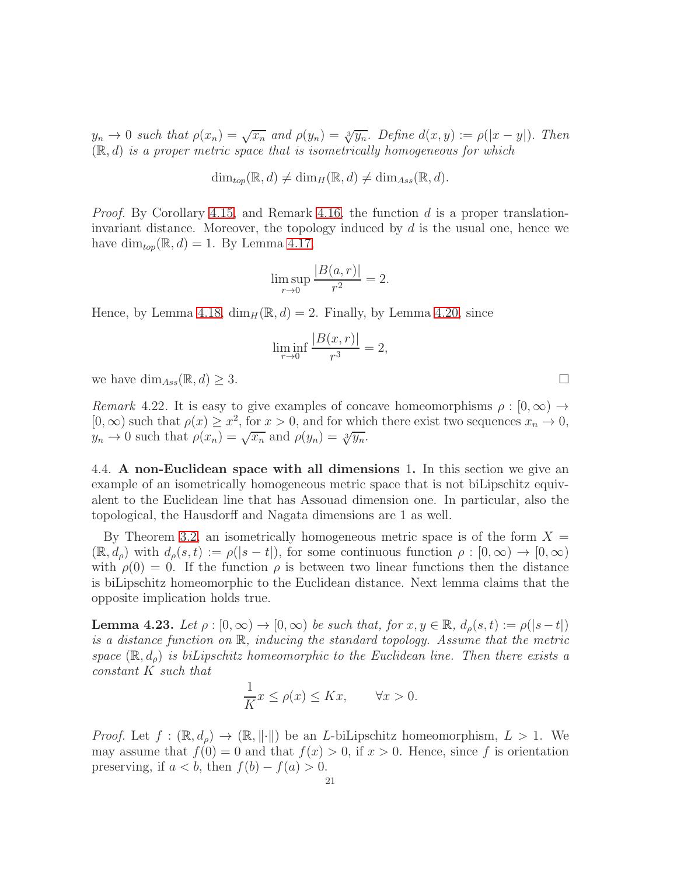$y_n \to 0$  such that  $\rho(x_n) = \sqrt{x_n}$  and  $\rho(y_n) = \sqrt[3]{y_n}$ . Define  $d(x, y) := \rho(|x - y|)$ . Then  $(\mathbb{R}, d)$  is a proper metric space that is isometrically homogeneous for which

$$
\dim_{top}(\mathbb{R},d) \neq \dim_H(\mathbb{R},d) \neq \dim_{Ass}(\mathbb{R},d).
$$

*Proof.* By Corollary [4.15,](#page-17-0) and Remark [4.16,](#page-17-1) the function d is a proper translationinvariant distance. Moreover, the topology induced by  $d$  is the usual one, hence we have  $\dim_{top}(\mathbb{R}, d) = 1$ . By Lemma [4.17,](#page-18-2)

$$
\limsup_{r \to 0} \frac{|B(a, r)|}{r^2} = 2.
$$

Hence, by Lemma [4.18,](#page-18-1)  $\dim_H(\mathbb{R}, d) = 2$ . Finally, by Lemma [4.20,](#page-19-1) since

$$
\liminf_{r \to 0} \frac{|B(x,r)|}{r^3} = 2,
$$

we have  $\dim_{Ass}(\mathbb{R}, d) \geq 3$ .

Remark 4.22. It is easy to give examples of concave homeomorphisms  $\rho : [0, \infty) \rightarrow$  $[0, \infty)$  such that  $\rho(x) \geq x^2$ , for  $x > 0$ , and for which there exist two sequences  $x_n \to 0$ ,  $y_n \to 0$  such that  $\rho(x_n) = \sqrt{x_n}$  and  $\rho(y_n) = \sqrt[3]{y_n}$ .

<span id="page-20-0"></span>4.4. A non-Euclidean space with all dimensions 1. In this section we give an example of an isometrically homogeneous metric space that is not biLipschitz equivalent to the Euclidean line that has Assouad dimension one. In particular, also the topological, the Hausdorff and Nagata dimensions are 1 as well.

By Theorem [3.2,](#page-11-1) an isometrically homogeneous metric space is of the form  $X =$  $(\mathbb{R}, d_{\rho})$  with  $d_{\rho}(s, t) := \rho(|s - t|)$ , for some continuous function  $\rho : [0, \infty) \to [0, \infty)$ with  $\rho(0) = 0$ . If the function  $\rho$  is between two linear functions then the distance is biLipschitz homeomorphic to the Euclidean distance. Next lemma claims that the opposite implication holds true.

<span id="page-20-1"></span>**Lemma 4.23.** Let  $\rho : [0, \infty) \to [0, \infty)$  be such that, for  $x, y \in \mathbb{R}$ ,  $d_{\rho}(s, t) := \rho(|s-t|)$ is a distance function on R, inducing the standard topology. Assume that the metric space  $(\mathbb{R}, d_{\rho})$  is biLipschitz homeomorphic to the Euclidean line. Then there exists a constant K such that

$$
\frac{1}{K}x \le \rho(x) \le Kx, \qquad \forall x > 0.
$$

*Proof.* Let  $f : (\mathbb{R}, d_{\rho}) \to (\mathbb{R}, ||\cdot||)$  be an *L*-biLipschitz homeomorphism,  $L > 1$ . We may assume that  $f(0) = 0$  and that  $f(x) > 0$ , if  $x > 0$ . Hence, since f is orientation preserving, if  $a < b$ , then  $f(b) - f(a) > 0$ .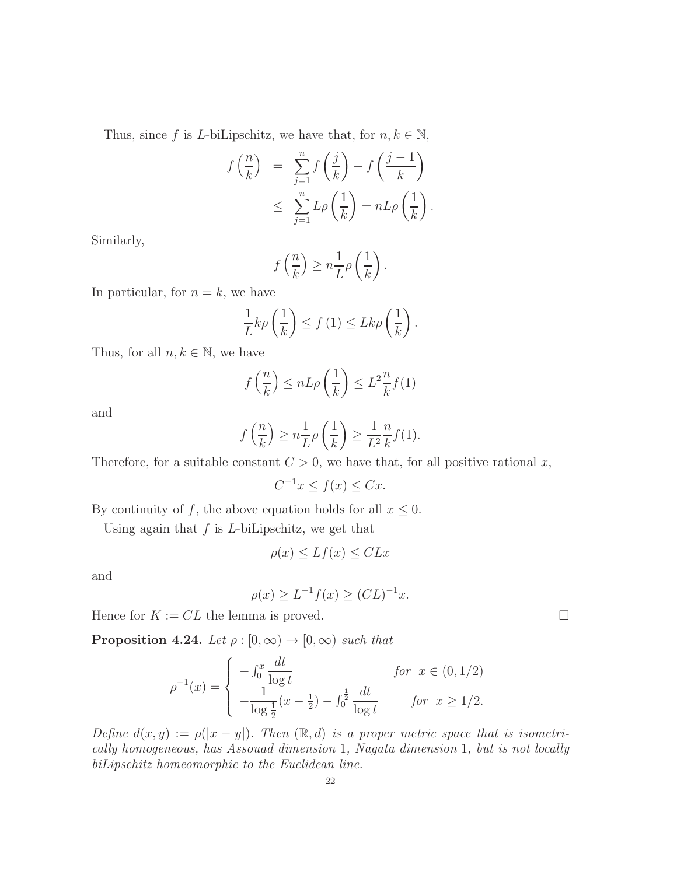Thus, since f is L-biLipschitz, we have that, for  $n, k \in \mathbb{N}$ ,

$$
f\left(\frac{n}{k}\right) = \sum_{j=1}^{n} f\left(\frac{j}{k}\right) - f\left(\frac{j-1}{k}\right)
$$
  

$$
\leq \sum_{j=1}^{n} L\rho\left(\frac{1}{k}\right) = nL\rho\left(\frac{1}{k}\right).
$$

Similarly,

$$
f\left(\frac{n}{k}\right) \geq n\frac{1}{L}\rho\left(\frac{1}{k}\right).
$$

In particular, for  $n = k$ , we have

$$
\frac{1}{L}k\rho\left(\frac{1}{k}\right) \le f\left(1\right) \le Lk\rho\left(\frac{1}{k}\right).
$$

Thus, for all  $n, k \in \mathbb{N}$ , we have

$$
f\left(\frac{n}{k}\right) \le nL\rho\left(\frac{1}{k}\right) \le L^2 \frac{n}{k} f(1)
$$

and

$$
f\left(\frac{n}{k}\right) \ge n \frac{1}{L} \rho\left(\frac{1}{k}\right) \ge \frac{1}{L^2} \frac{n}{k} f(1).
$$

Therefore, for a suitable constant  $C > 0$ , we have that, for all positive rational x,

$$
C^{-1}x \le f(x) \le Cx.
$$

By continuity of f, the above equation holds for all  $x \leq 0$ .

Using again that  $f$  is  $L$ -biLipschitz, we get that

$$
\rho(x) \le Lf(x) \le CLx
$$

and

$$
\rho(x) \ge L^{-1} f(x) \ge (CL)^{-1} x.
$$

Hence for  $K := CL$  the lemma is proved.

<span id="page-21-0"></span>**Proposition 4.24.** Let  $\rho : [0, \infty) \to [0, \infty)$  such that

$$
\rho^{-1}(x) = \begin{cases}\n-\int_0^x \frac{dt}{\log t} & \text{for } x \in (0, 1/2) \\
-\frac{1}{\log \frac{1}{2}}(x - \frac{1}{2}) - \int_0^{\frac{1}{2}} \frac{dt}{\log t} & \text{for } x \ge 1/2.\n\end{cases}
$$

Define  $d(x, y) := \rho(|x - y|)$ . Then  $(\mathbb{R}, d)$  is a proper metric space that is isometrically homogeneous, has Assouad dimension 1, Nagata dimension 1, but is not locally biLipschitz homeomorphic to the Euclidean line.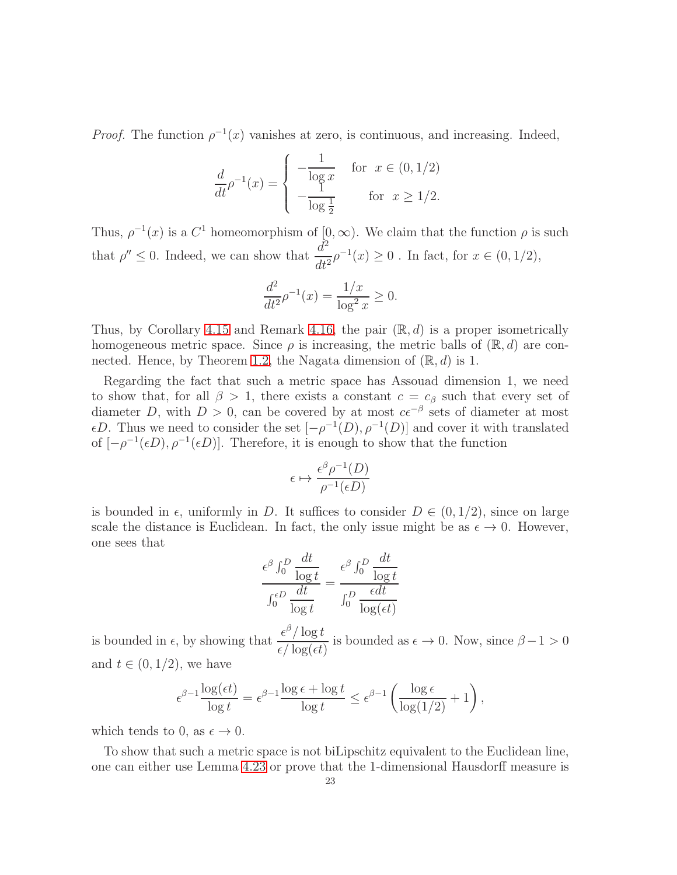*Proof.* The function  $\rho^{-1}(x)$  vanishes at zero, is continuous, and increasing. Indeed,

$$
\frac{d}{dt}\rho^{-1}(x) = \begin{cases}\n-\frac{1}{\log x} & \text{for } x \in (0, 1/2) \\
-\frac{1}{\log \frac{1}{2}} & \text{for } x \ge 1/2.\n\end{cases}
$$

Thus,  $\rho^{-1}(x)$  is a  $C^1$  homeomorphism of  $[0, \infty)$ . We claim that the function  $\rho$  is such that  $\rho'' \leq 0$ . Indeed, we can show that  $\frac{d^2}{dt^2}$  $\frac{d}{dt^2} \rho^{-1}(x) \ge 0$ . In fact, for  $x \in (0, 1/2)$ ,

$$
\frac{d^2}{dt^2} \rho^{-1}(x) = \frac{1/x}{\log^2 x} \ge 0.
$$

Thus, by Corollary [4.15](#page-17-0) and Remark [4.16,](#page-17-1) the pair  $(\mathbb{R}, d)$  is a proper isometrically homogeneous metric space. Since  $\rho$  is increasing, the metric balls of  $(\mathbb{R}, d)$  are con-nected. Hence, by Theorem [1.2,](#page-2-1) the Nagata dimension of  $(\mathbb{R}, d)$  is 1.

Regarding the fact that such a metric space has Assouad dimension 1, we need to show that, for all  $\beta > 1$ , there exists a constant  $c = c_{\beta}$  such that every set of diameter D, with  $D > 0$ , can be covered by at most  $c\epsilon^{-\beta}$  sets of diameter at most  $\epsilon D$ . Thus we need to consider the set  $[-\rho^{-1}(D), \rho^{-1}(D)]$  and cover it with translated of  $[-\rho^{-1}(\epsilon D), \rho^{-1}(\epsilon D)]$ . Therefore, it is enough to show that the function

$$
\epsilon \mapsto \frac{\epsilon^{\beta} \rho^{-1}(D)}{\rho^{-1}(\epsilon D)}
$$

is bounded in  $\epsilon$ , uniformly in D. It suffices to consider  $D \in (0, 1/2)$ , since on large scale the distance is Euclidean. In fact, the only issue might be as  $\epsilon \to 0$ . However, one sees that

$$
\frac{\epsilon^{\beta} \int_0^D \frac{dt}{\log t}}{\int_0^{\epsilon D} \frac{dt}{\log t}} = \frac{\epsilon^{\beta} \int_0^D \frac{dt}{\log t}}{\int_0^D \frac{\epsilon dt}{\log(\epsilon t)}}
$$

is bounded in  $\epsilon$ , by showing that  $\frac{\epsilon^{\beta}/\log t}{\sqrt{\log t}}$  $\frac{\epsilon}{\epsilon/\log(\epsilon t)}$  is bounded as  $\epsilon \to 0$ . Now, since  $\beta - 1 > 0$ and  $t \in (0, 1/2)$ , we have

$$
\epsilon^{\beta-1} \frac{\log(\epsilon t)}{\log t} = \epsilon^{\beta-1} \frac{\log \epsilon + \log t}{\log t} \leq \epsilon^{\beta-1} \left( \frac{\log \epsilon}{\log(1/2)} + 1 \right),
$$

which tends to 0, as  $\epsilon \to 0$ .

To show that such a metric space is not biLipschitz equivalent to the Euclidean line, one can either use Lemma [4.23](#page-20-1) or prove that the 1-dimensional Hausdorff measure is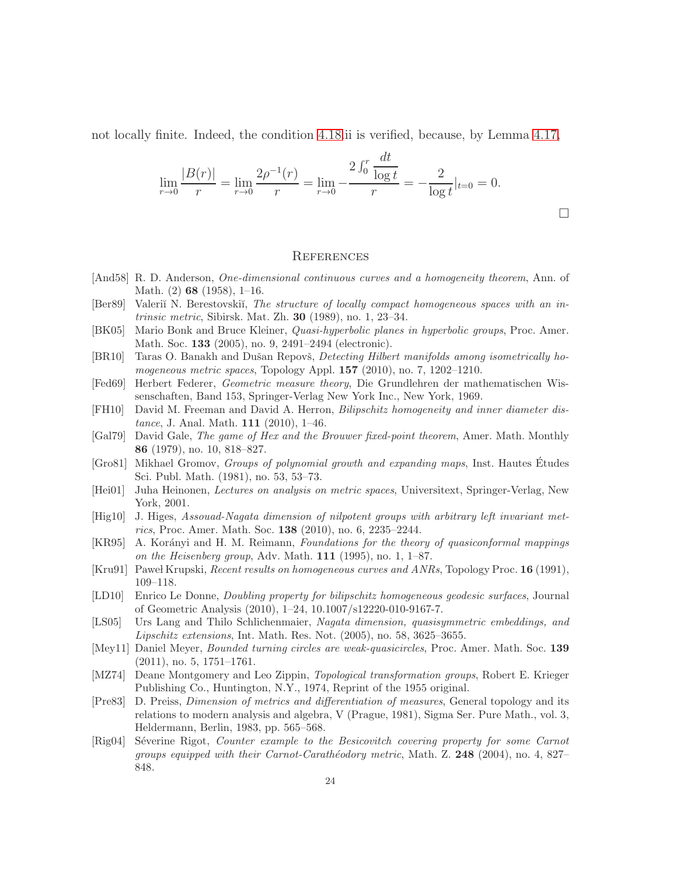not locally finite. Indeed, the condition [4.18.](#page-18-1)ii is verified, because, by Lemma [4.17,](#page-18-2)

$$
\lim_{r \to 0} \frac{|B(r)|}{r} = \lim_{r \to 0} \frac{2\rho^{-1}(r)}{r} = \lim_{r \to 0} -\frac{2\int_0^r \frac{dt}{\log t}}{r} = -\frac{2}{\log t}|_{t=0} = 0.
$$

 $\Box$ 

#### <span id="page-23-0"></span>**REFERENCES**

- <span id="page-23-1"></span>[And58] R. D. Anderson, One-dimensional continuous curves and a homogeneity theorem, Ann. of Math. (2) 68 (1958), 1–16.
- <span id="page-23-5"></span>[Ber89] Valeriĭ N. Berestovskiĭ, The structure of locally compact homogeneous spaces with an intrinsic metric, Sibirsk. Mat. Zh. 30 (1989), no. 1, 23–34.
- <span id="page-23-6"></span>[BK05] Mario Bonk and Bruce Kleiner, *Quasi-hyperbolic planes in hyperbolic groups*, Proc. Amer. Math. Soc. 133 (2005), no. 9, 2491–2494 (electronic).
- <span id="page-23-7"></span>[BR10] Taras O. Banakh and Dušan Repovš, *Detecting Hilbert manifolds among isometrically ho*mogeneous metric spaces, Topology Appl. 157 (2010), no. 7, 1202–1210.
- <span id="page-23-15"></span>[Fed69] Herbert Federer, Geometric measure theory, Die Grundlehren der mathematischen Wissenschaften, Band 153, Springer-Verlag New York Inc., New York, 1969.
- <span id="page-23-9"></span>[FH10] David M. Freeman and David A. Herron, Bilipschitz homogeneity and inner diameter dis*tance*, J. Anal. Math. **111** (2010), 1–46.
- <span id="page-23-17"></span>[Gal79] David Gale, The game of Hex and the Brouwer fixed-point theorem, Amer. Math. Monthly 86 (1979), no. 10, 818–827.
- <span id="page-23-4"></span>[Gro81] Mikhael Gromov, Groups of polynomial growth and expanding maps, Inst. Hautes Etudes ´ Sci. Publ. Math. (1981), no. 53, 53–73.
- <span id="page-23-16"></span>[Hei01] Juha Heinonen, Lectures on analysis on metric spaces, Universitext, Springer-Verlag, New York, 2001.
- <span id="page-23-8"></span>[Hig10] J. Higes, Assouad-Nagata dimension of nilpotent groups with arbitrary left invariant metrics, Proc. Amer. Math. Soc. 138 (2010), no. 6, 2235–2244.
- <span id="page-23-11"></span>[KR95] A. Korányi and H. M. Reimann, Foundations for the theory of quasiconformal mappings on the Heisenberg group, Adv. Math.  $111$  (1995), no. 1, 1–87.
- <span id="page-23-2"></span>[Kru91] Paweł Krupski, Recent results on homogeneous curves and ANRs, Topology Proc. 16 (1991), 109–118.
- <span id="page-23-18"></span>[LD10] Enrico Le Donne, Doubling property for bilipschitz homogeneous geodesic surfaces, Journal of Geometric Analysis (2010), 1–24, 10.1007/s12220-010-9167-7.
- <span id="page-23-14"></span>[LS05] Urs Lang and Thilo Schlichenmaier, Nagata dimension, quasisymmetric embeddings, and Lipschitz extensions, Int. Math. Res. Not. (2005), no. 58, 3625–3655.
- <span id="page-23-10"></span>[Mey11] Daniel Meyer, *Bounded turning circles are weak-quasicircles*, Proc. Amer. Math. Soc. 139 (2011), no. 5, 1751–1761.
- <span id="page-23-3"></span>[MZ74] Deane Montgomery and Leo Zippin, Topological transformation groups, Robert E. Krieger Publishing Co., Huntington, N.Y., 1974, Reprint of the 1955 original.
- <span id="page-23-13"></span>[Pre83] D. Preiss, Dimension of metrics and differentiation of measures, General topology and its relations to modern analysis and algebra, V (Prague, 1981), Sigma Ser. Pure Math., vol. 3, Heldermann, Berlin, 1983, pp. 565–568.
- <span id="page-23-12"></span>[Rig04] Séverine Rigot, Counter example to the Besicovitch covering property for some Carnot groups equipped with their Carnot-Carathéodory metric, Math. Z.  $248$  (2004), no. 4, 827– 848.